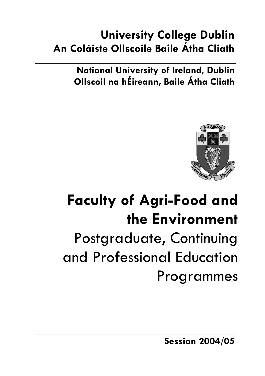# **University College Dublin An Coláiste Ollscoile Baile Átha Cliath**

**National University of Ireland, Dublin Ollscoil na hÉireann, Baile Átha Cliath** 



# **Faculty of Agri-Food and the Environment**  Postgraduate, Continuing and Professional Education Programmes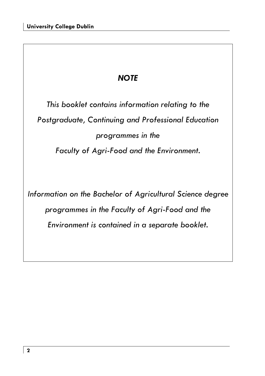# *NOTE*

*This booklet contains information relating to the Postgraduate, Continuing and Professional Education programmes in the Faculty of Agri-Food and the Environment.* 

*Information on the Bachelor of Agricultural Science degree programmes in the Faculty of Agri-Food and the Environment is contained in a separate booklet.*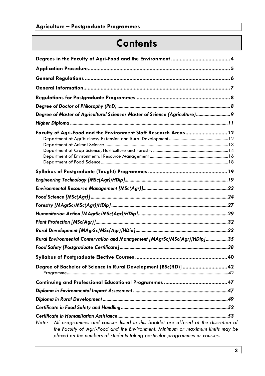# **Contents**

| Degree of Master of Agricultural Science/ Master of Science (Agriculture) 9                                                                                                                                                                                 |
|-------------------------------------------------------------------------------------------------------------------------------------------------------------------------------------------------------------------------------------------------------------|
|                                                                                                                                                                                                                                                             |
| Faculty of Agri-Food and the Environment Staff Research Areas 12                                                                                                                                                                                            |
|                                                                                                                                                                                                                                                             |
|                                                                                                                                                                                                                                                             |
|                                                                                                                                                                                                                                                             |
|                                                                                                                                                                                                                                                             |
|                                                                                                                                                                                                                                                             |
|                                                                                                                                                                                                                                                             |
|                                                                                                                                                                                                                                                             |
|                                                                                                                                                                                                                                                             |
| Rural Environmental Conservation and Management [MAgrSc/MSc(Agr)/HDip]35                                                                                                                                                                                    |
|                                                                                                                                                                                                                                                             |
|                                                                                                                                                                                                                                                             |
| Degree of Bachelor of Science in Rural Development [BSc(RD)]  42                                                                                                                                                                                            |
|                                                                                                                                                                                                                                                             |
|                                                                                                                                                                                                                                                             |
|                                                                                                                                                                                                                                                             |
|                                                                                                                                                                                                                                                             |
|                                                                                                                                                                                                                                                             |
| All programmes and courses listed in this booklet are offered at the discretion of<br>Note:<br>the Faculty of Agri-Food and the Environment. Minimum or maximum limits may be<br>placed on the numbers of students taking particular programmes or courses. |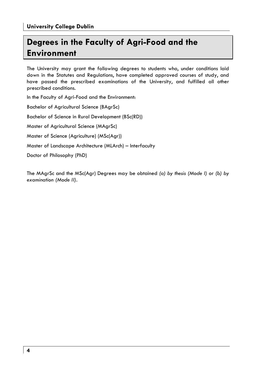# **Degrees in the Faculty of Agri-Food and the Environment**

The University may grant the following degrees to students who, under conditions laid down in the Statutes and Regulations, have completed approved courses of study, and have passed the prescribed examinations of the University, and fulfilled all other prescribed conditions.

In the Faculty of Agri-Food and the Environment:

Bachelor of Agricultural Science (BAgrSc)

Bachelor of Science in Rural Development (BSc(RD))

Master of Agricultural Science (MAgrSc)

Master of Science (Agriculture) (MSc(Agr))

Master of Landscape Architecture (MLArch) – Interfaculty

Doctor of Philosophy (PhD)

The MAgrSc and the MSc(Agr) Degrees may be obtained *(a) by thesis (Mode I)* or *(b) by examination (Mode II).*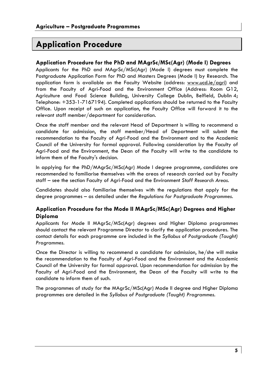# **Application Procedure**

# **Application Procedure for the PhD and MAgrSc/MSc(Agr) (Mode I) Degrees**

Applicants for the PhD and MAgrSc/MSc(Agr) (Mode I) degrees must complete the Postgraduate Application Form for PhD and Masters Degrees (Mode I) by Research. The application form is available on the Faculty Website (address: www.ucd.ie/agri) and from the Faculty of Agri-Food and the Environment Office (Address: Room G12, Agriculture and Food Science Building, University College Dublin, Belfield, Dublin 4; Telephone: +353-1-7167194). Completed applications should be returned to the Faculty Office. Upon receipt of such an application, the Faculty Office will forward it to the relevant staff member/department for consideration.

Once the staff member and the relevant Head of Department is willing to recommend a candidate for admission, the staff member/Head of Department will submit the recommendation to the Faculty of Agri-Food and the Environment and to the Academic Council of the University for formal approval. Following consideration by the Faculty of Agri-Food and the Environment, the Dean of the Faculty will write to the candidate to inform them of the Faculty's decision.

In applying for the PhD/MAgrSc/MSc(Agr) Mode I degree programme, candidates are recommended to familiarise themselves with the areas of research carried out by Faculty staff – see the section Faculty of Agri-Food and the Environment *Staff Research Areas.* 

Candidates should also familiarise themselves with the regulations that apply for the degree programmes – as detailed under the *Regulations for Postgraduate Programmes.* 

# **Application Procedure for the Mode II MAgrSc/MSc(Agr) Degrees and Higher Diploma**

Applicants for Mode II MAgrSc/MSc(Agr) degrees and Higher Diploma programmes should contact the relevant Programme Director to clarify the application procedures. The contact details for each programme are included in the *Syllabus of Postgraduate (Taught) Programmes.* 

Once the Director is willing to recommend a candidate for admission, he/she will make the recommendation to the Faculty of Agri-Food and the Environment and the Academic Council of the University for formal approval. Upon recommendation for admission by the Faculty of Agri-Food and the Environment, the Dean of the Faculty will write to the candidate to inform them of such.

The programmes of study for the MAgrSc/MSc(Agr) Mode II degree and Higher Diploma programmes are detailed in the *Syllabus of Postgraduate (Taught) Programmes.*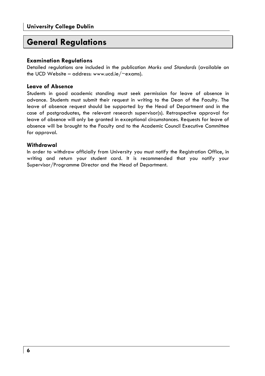# **General Regulations**

# **Examination Regulations**

Detailed regulations are included in the publication *Marks and Standards* (available on the UCD Website – address: www.ucd.ie/ $\sim$ exams).

# **Leave of Absence**

Students in good academic standing must seek permission for leave of absence in advance. Students must submit their request in writing to the Dean of the Faculty. The leave of absence request should be supported by the Head of Department and in the case of postgraduates, the relevant research supervisor(s). Retrospective approval for leave of absence will only be granted in exceptional circumstances. Requests for leave of absence will be brought to the Faculty and to the Academic Council Executive Committee for approval.

# **Withdrawal**

In order to withdraw officially from University you must notify the Registration Office, in writing and return your student card. It is recommended that you notify your Supervisor/Programme Director and the Head of Department.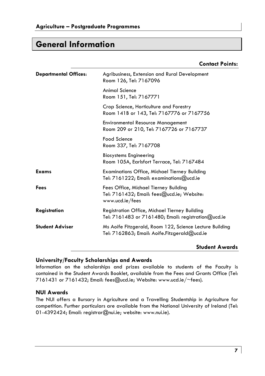# **General Information**

# **Contact Points:**

| <b>Departmental Offices:</b> | Agribusiness, Extension and Rural Development<br>Room 126, Tel: 7167096                                 |
|------------------------------|---------------------------------------------------------------------------------------------------------|
|                              | <b>Animal Science</b><br>Room 151, Tel: 7167771                                                         |
|                              | Crop Science, Horticulture and Forestry<br>Room 141B or 143, Tel: 7167776 or 7167756                    |
|                              | <b>Environmental Resource Management</b><br>Room 209 or 210, Tel: 7167726 or 7167737                    |
|                              | Food Science<br>Room 337, Tel: 7167708                                                                  |
|                              | <b>Biosystems Engineering</b><br>Room 105A, Earlsfort Terrace, Tel: 7167484                             |
| Exams                        | <b>Examinations Office, Michael Tierney Building</b><br>Tel: 7161222; Email: examinations@ucd.ie        |
| Fees                         | Fees Office, Michael Tierney Building<br>Tel: 7161432; Email: fees@ucd.ie; Website:<br>www.ucd.ie/fees  |
| <b>Registration</b>          | Registration Office, Michael Tierney Building<br>Tel: 7161483 or 7161480; Email: registration@ucd.ie    |
| <b>Student Adviser</b>       | Ms Aoife Fitzgerald, Room 122, Science Lecture Building<br>Tel: 7162863; Email: Aoife.Fitzgerald@ucd.ie |

### **Student Awards**

# **University/Faculty Scholarships and Awards**

Information on the scholarships and prizes available to students of the Faculty is contained in the Student Awards Booklet, available from the Fees and Grants Office (Tel: 7161431 or 7161432; Email: fees@ucd.ie; Website: www.ucd.ie/~fees).

# **NUI Awards**

The NUI offers a Bursary in Agriculture and a Travelling Studentship in Agriculture for competition. Further particulars are available from the National University of Ireland (Tel: 01-4392424; Email: registrar@nui.ie; website: www.nui.ie).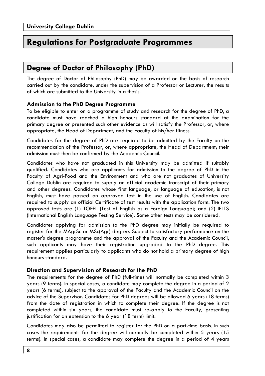# **Regulations for Postgraduate Programmes**

# **Degree of Doctor of Philosophy (PhD)**

The degree of Doctor of Philosophy (PhD) may be awarded on the basis of research carried out by the candidate, under the supervision of a Professor or Lecturer, the results of which are submitted to the University in a thesis.

# **Admission to the PhD Degree Programme**

To be eligible to enter on a programme of study and research for the degree of PhD, a candidate must have reached a high honours standard at the examination for the primary degree or presented such other evidence as will satisfy the Professor, or, where appropriate, the Head of Department, and the Faculty of his/her fitness.

Candidates for the degree of PhD are required to be admitted by the Faculty on the recommendation of the Professor, or, where appropriate, the Head of Department; their admission must then be confirmed by the Academic Council.

Candidates who have not graduated in this University may be admitted if suitably qualified. Candidates who are applicants for admission to the degree of PhD in the Faculty of Agri-Food and the Environment and who are not graduates of University College Dublin are required to supply an official academic transcript of their primary and other degrees. Candidates whose first language, or language of education, is not English, must have passed an approved test in the use of English. Candidates are required to supply an official Certificate of test results with the application form. The two approved tests are (1) TOEFL (Test of English as a Foreign Language); and (2) IELTS (International English Language Testing Service). Some other tests may be considered.

Candidates applying for admission to the PhD degree may initially be required to register for the MAgrSc or MSc(Agr) degree. Subject to satisfactory performance on the master's degree programme and the approval of the Faculty and the Academic Council, such applicants may have their registration upgraded to the PhD degree. This requirement applies particularly to applicants who do not hold a primary degree of high honours standard.

# **Direction and Supervision of Research for the PhD**

The requirements for the degree of PhD (full-time) will normally be completed within 3 years (9 terms). In special cases, a candidate may complete the degree in a period of 2 years (6 terms), subject to the approval of the Faculty and the Academic Council on the advice of the Supervisor. Candidates for PhD degrees will be allowed 6 years (18 terms) from the date of registration in which to complete their degree. If the degree is not completed within six years, the candidate must re-apply to the Faculty, presenting justification for an extension to the 6 year (18 term) limit.

Candidates may also be permitted to register for the PhD on a part-time basis. In such cases the requirements for the degree will normally be completed within 5 years (15 terms). In special cases, a candidate may complete the degree in a period of 4 years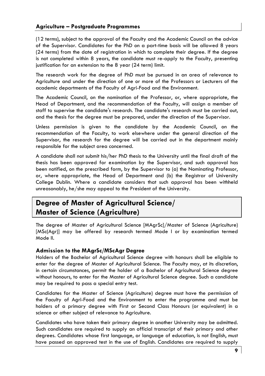# **Agriculture – Postgraduate Programmes**

(12 terms), subject to the approval of the Faculty and the Academic Council on the advice of the Supervisor. Candidates for the PhD on a part-time basis will be allowed 8 years (24 terms) from the date of registration in which to complete their degree. If the degree is not completed within 8 years, the candidate must re-apply to the Faculty, presenting justification for an extension to the 8 year (24 term) limit.

The research work for the degree of PhD must be pursued in an area of relevance to Agriculture and under the direction of one or more of the Professors or Lecturers of the academic departments of the Faculty of Agri-Food and the Environment.

The Academic Council, on the nomination of the Professor, or, where appropriate, the Head of Department, and the recommendation of the Faculty, will assign a member of staff to supervise the candidate's research. The candidate's research must be carried out, and the thesis for the degree must be prepared, under the direction of the Supervisor.

Unless permission is given to the candidate by the Academic Council, on the recommendation of the Faculty, to work elsewhere under the general direction of the Supervisor, the research for the degree will be carried out in the department mainly responsible for the subject area concerned.

A candidate shall not submit his/her PhD thesis to the University until the final draft of the thesis has been approved for examination by the Supervisor, and such approval has been notified, on the prescribed form, by the Supervisor to (a) the Nominating Professor, or, where appropriate, the Head of Department and (b) the Registrar of University College Dublin. Where a candidate considers that such approval has been withheld unreasonably, he/she may appeal to the President of the University.

# **Degree of Master of Agricultural Science/ Master of Science (Agriculture)**

The degree of Master of Agricultural Science [MAgrSc]/Master of Science (Agriculture) [MSc(Agr)] may be offered by research termed Mode I or by examination termed Mode II.

# **Admission to the MAgrSc/MScAgr Degree**

Holders of the Bachelor of Agricultural Science degree with honours shall be eligible to enter for the degree of Master of Agricultural Science. The Faculty may, at its discretion, in certain circumstances, permit the holder of a Bachelor of Agricultural Science degree without honours, to enter for the Master of Agricultural Science degree. Such a candidate may be required to pass a special entry test.

Candidates for the Master of Science (Agriculture) degree must have the permission of the Faculty of Agri-Food and the Environment to enter the programme and must be holders of a primary degree with First or Second Class Honours (or equivalent) in a science or other subject of relevance to Agriculture.

Candidates who have taken their primary degree in another University may be admitted. Such candidates are required to supply an official transcript of their primary and other degrees. Candidates whose first language, or language of education, is not English, must have passed an approved test in the use of English. Candidates are required to supply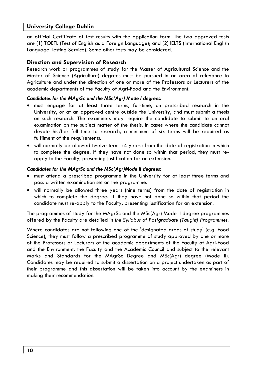an official Certificate of test results with the application form. The two approved tests are (1) TOEFL (Test of English as a Foreign Language); and (2) IELTS (International English Language Testing Service). Some other tests may be considered.

# **Direction and Supervision of Research**

Research work or programmes of study for the Master of Agricultural Science and the Master of Science (Agriculture) degrees must be pursued in an area of relevance to Agriculture and under the direction of one or more of the Professors or Lecturers of the academic departments of the Faculty of Agri-Food and the Environment.

# *Candidates for the MAgrSc and the MSc(Agr) Mode I degrees:*

- must engage for at least three terms, full-time, on prescribed research in the University, or at an approved centre outside the University, and must submit a thesis on such research. The examiners may require the candidate to submit to an oral examination on the subject matter of the thesis. In cases where the candidate cannot devote his/her full time to research, a minimum of six terms will be required as fulfilment of the requirements.
- will normally be allowed twelve terms (4 years) from the date of registration in which to complete the degree. If they have not done so within that period, they must reapply to the Faculty, presenting justification for an extension.

### *Candidates for the MAgrSc and the MSc(Agr)Mode II degrees:*

- must attend a prescribed programme in the University for at least three terms and pass a written examination set on the programme.
- will normally be allowed three years (nine terms) from the date of registration in which to complete the degree. If they have not done so within that period the candidate must re-apply to the Faculty, presenting justification for an extension.

The programmes of study for the MAgrSc and the MSc(Agr) Mode II degree programmes offered by the Faculty are detailed in *the Syllabus of Postgraduate (Taught) Programmes*.

Where candidates are not following one of the 'designated areas of study' (e.g. Food Science), they must follow a prescribed programme of study approved by one or more of the Professors or Lecturers of the academic departments of the Faculty of Agri-Food and the Environment, the Faculty and the Academic Council and subject to the relevant Marks and Standards for the MAgrSc Degree and MSc(Agr) degree (Mode II). Candidates may be required to submit a dissertation on a project undertaken as part of their programme and this dissertation will be taken into account by the examiners in making their recommendation.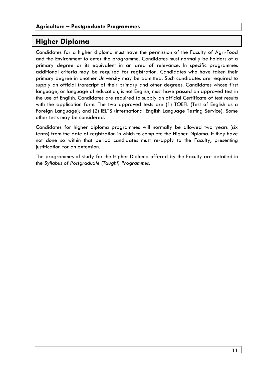# **Higher Diploma**

Candidates for a higher diploma must have the permission of the Faculty of Agri-Food and the Environment to enter the programme. Candidates must normally be holders of a primary degree or its equivalent in an area of relevance. In specific programmes additional criteria may be required for registration. Candidates who have taken their primary degree in another University may be admitted. Such candidates are required to supply an official transcript of their primary and other degrees. Candidates whose first language, or language of education, is not English, must have passed an approved test in the use of English. Candidates are required to supply an official Certificate of test results with the application form. The two approved tests are (1) TOEFL (Test of English as a Foreign Language); and (2) IELTS (International English Language Testing Service). Some other tests may be considered.

Candidates for higher diploma programmes will normally be allowed two years (six terms) from the date of registration in which to complete the Higher Diploma. If they have not done so within that period candidates must re-apply to the Faculty, presenting justification for an extension.

The programmes of study for the Higher Diploma offered by the Faculty are detailed in the *Syllabus of Postgraduate (Taught) Programmes*.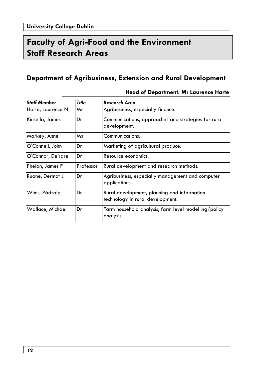# **Faculty of Agri-Food and the Environment Staff Research Areas**

# **Department of Agribusiness, Extension and Rural Development**

| <b>Staff Member</b> | Title     | Research Area                                                                   |  |
|---------------------|-----------|---------------------------------------------------------------------------------|--|
| Harte, Laurence N   | Mr        | Agribusiness, especially finance.                                               |  |
| Kinsella, James     | Dr        | Communications, approaches and strategies for rural<br>development.             |  |
| Markey, Anne        | Ms        | Communications.                                                                 |  |
| O'Connell, John     | Dr        | Marketing of agricultural produce.                                              |  |
| O'Connor, Deirdre   | Dr        | Resource economics.                                                             |  |
| Phelan, James F     | Professor | Rural development and research methods.                                         |  |
| Ruane, Dermot J     | Dr        | Agribusiness, especially management and computer<br>applications.               |  |
| Wims, Pádraig       | Dr        | Rural development, planning and information<br>technology in rural development. |  |
| Wallace, Michael    | Dr        | Farm household analysis, farm level modelling/policy<br>analysis.               |  |

# **Head of Department: Mr Laurence Harte**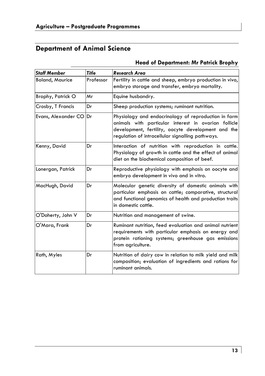# **Department of Animal Science**

# *Staff Member Title Research Area*  Boland, Maurice Professor Fertility in cattle and sheep, embryo production in vivo, embryo storage and transfer, embryo mortality. Brophy, Patrick O | Mr | Equine husbandry.  $\mathsf{C}$ rosby, T Francis  $\qquad$   $\mathsf{D}$ r  $\qquad$   $\qquad$   $\qquad$  Sheep production systems; ruminant nutrition. Evans, Alexander  $CO|Dr$  Physiology and endocrinology of reproduction in farm animals with particular interest in ovarian follicle development, fertility, oocyte development and the regulation of intracellular signalling pathways. Kenny, David | Dr | Interaction of nutrition with reproduction in cattle. Physiology of growth in cattle and the effect of animal diet on the biochemical composition of beef. Lonergan, Patrick | Dr Reproductive physiology with emphasis on oocyte and embryo development in vivo and in vitro. MacHugh, David Dr Molecular genetic diversity of domestic animals with particular emphasis on cattle; comparative, structural and functional genomics of health and production traits in domestic cattle. O'Doherty, John V Dr Nutrition and management of swine. O'Mara, Frank Dr Ruminant nutrition, feed evaluation and animal nutrient requirements with particular emphasis on energy and protein rationing systems; greenhouse gas emissions from agriculture. Rath, Myles **Dr** Nutrition of dairy cow in relation to milk yield and milk composition; evaluation of ingredients and rations for ruminant animals.

# **Head of Department: Mr Patrick Brophy**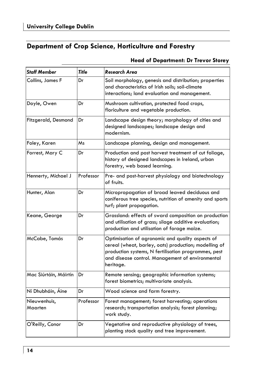# **Department of Crop Science, Horticulture and Forestry**

# **Head of Department: Dr Trevor Storey**

| <b>Staff Member</b>     | <b>Title</b> | <b>Research Area</b>                                                                                                                                                                                                               |  |
|-------------------------|--------------|------------------------------------------------------------------------------------------------------------------------------------------------------------------------------------------------------------------------------------|--|
| Collins, James F        | Dr           | Soil morphology, genesis and distribution; properties<br>and characteristics of Irish soils; soil-climate<br>interactions; land evaluation and management.                                                                         |  |
| Doyle, Owen             | Dr           | Mushroom cultivation, protected food crops,<br>floriculture and vegetable production.                                                                                                                                              |  |
| Fitzgerald, Desmond     | Dr           | Landscape design theory; morphology of cities and<br>designed landscapes; landscape design and<br>modernism.                                                                                                                       |  |
| Foley, Karen            | Ms           | Landscape planning, design and management.                                                                                                                                                                                         |  |
| Forrest, Mary C         | Dr           | Production and post harvest treatment of cut foliage,<br>history of designed landscapes in Ireland, urban<br>forestry, web based learning.                                                                                         |  |
| Hennerty, Michael J     | Professor    | Pre- and post-harvest physiology and biotechnology<br>of fruits.                                                                                                                                                                   |  |
| Hunter, Alan            | Dr           | Micropropagation of broad leaved deciduous and<br>coniferous tree species, nutrition of amenity and sports<br>turf; plant propagation.                                                                                             |  |
| Keane, George           | Dr           | Grassland: effects of sward composition on production<br>and utilisation of grass; silage additive evaluation;<br>production and utilisation of forage maize.                                                                      |  |
| McCabe, Tomás           | Dr           | Optimisation of agronomic and quality aspects of<br>cereal (wheat, barley, oats) production; modelling of<br>production systems, N fertilisation programmes, pest<br>and disease control. Management of environmental<br>heritage. |  |
| Mac Siúrtáin, Máirtín   | Dr           | Remote sensing; geographic information systems;<br>forest biometrics; multivariate analysis.                                                                                                                                       |  |
| Ní Dhubháin, Áine       | Dr           | Wood science and farm forestry.                                                                                                                                                                                                    |  |
| Nieuwenhuis,<br>Maarten | Professor    | Forest management; forest harvesting; operations<br>research; transportation analysis; forest planning;<br>work study.                                                                                                             |  |
| O'Reilly, Conor         | Dr           | Vegetative and reproductive physiology of trees,<br>planting stock quality and tree improvement.                                                                                                                                   |  |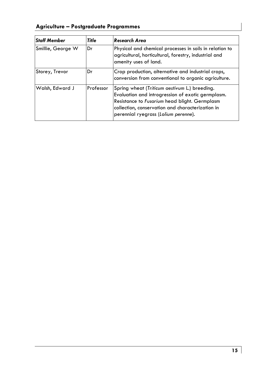# **Agriculture – Postgraduate Programmes**

| <b>Staff Member</b> | Title     | <b>Research Area</b>                                                                                                                                                                                                                            |
|---------------------|-----------|-------------------------------------------------------------------------------------------------------------------------------------------------------------------------------------------------------------------------------------------------|
| Smillie, George W   | Dr        | Physical and chemical processes in soils in relation to<br>agricultural, horticultural, forestry, industrial and<br>amenity uses of land.                                                                                                       |
| Storey, Trevor      | Dr        | Crop production, alternative and industrial crops,<br>conversion from conventional to organic agriculture.                                                                                                                                      |
| Walsh, Edward J     | Professor | Spring wheat (Triticum aestivum L.) breeding.<br>Evaluation and introgression of exotic germplasm.<br>Resistance to Fusarium head blight. Germplasm<br>collection, conservation and characterization in<br>perennial ryegrass (Lolium perenne). |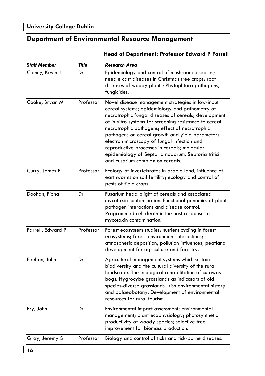# **Department of Environmental Resource Management**

| <b>Staff Member</b> | Title     | Research Area                                                                                                                                                                                                                                                                                                                                                                                                                                                                                                       |
|---------------------|-----------|---------------------------------------------------------------------------------------------------------------------------------------------------------------------------------------------------------------------------------------------------------------------------------------------------------------------------------------------------------------------------------------------------------------------------------------------------------------------------------------------------------------------|
| Clancy, Kevin J     | Dr        | Epidemiology and control of mushroom diseases;<br>needle cast diseases in Christmas tree crops; root<br>diseases of woody plants; Phytophtora pathogens,<br>fungicides.                                                                                                                                                                                                                                                                                                                                             |
| Cooke, Bryan M      | Professor | Novel disease management strategies in low-input<br>cereal systems; epidemiology and pathometry of<br>necrotrophic fungal diseases of cereals; development<br>of in vitro systems for screening resistance to cereal<br>necrotrophic pathogens; effect of necrotrophic<br>pathogens on cereal growth and yield parameters;<br>electron microscopy of fungal infection and<br>reproductive processes in cereals; molecular<br>epidemiology of Septoria nodorum, Septoria tritici<br>and Fusarium complex on cereals. |
| Curry, James P      | Professor | Ecology of invertebrates in arable land; influence of<br>earthworms on soil fertility; ecology and control of<br>pests of field crops.                                                                                                                                                                                                                                                                                                                                                                              |
| Doohan, Fiona       | Dr        | Fusarium head blight of cereals and associated<br>mycotoxin contamination. Functional genomics of plant<br>pathogen interactions and disease control.<br>Programmed cell death in the host response to<br>mycotoxin contamination.                                                                                                                                                                                                                                                                                  |
| Farrell, Edward P   | Professor | Forest ecosystem studies; nutrient cycling in forest<br>ecosystems; forest-environment interactions;<br>atmospheric deposition; pollution influences; peatland<br>development for agriculture and forestry.                                                                                                                                                                                                                                                                                                         |
| Feehan, John        | Dr        | Agricultural management systems which sustain<br>biodiversity and the cultural diversity of the rural<br>landscape. The ecological rehabilitation of cutaway<br>bogs. Hygrocybe grasslands as indicators of old<br>species-diverse grasslands. Irish environmental history<br>and palaeobotany. Development of environmental<br>resources for rural tourism.                                                                                                                                                        |
| Fry, John           | Dr        | Environmental impact assessment; environmental<br>management; plant ecophysiology; photosynthetic<br>productivity of woody species; selective tree<br>improvement for biomass production.                                                                                                                                                                                                                                                                                                                           |
| Gray, Jeremy S      | Professor | Biology and control of ticks and tick-borne diseases.                                                                                                                                                                                                                                                                                                                                                                                                                                                               |

# **Head of Department: Professor Edward P Farrell**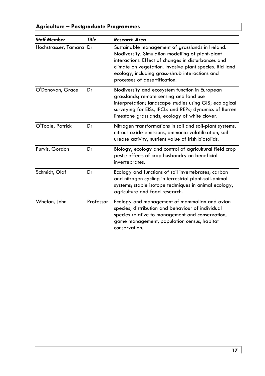# **Agriculture – Postgraduate Programmes**

| <b>Staff Member</b>  | <b>Title</b> | Research Area                                                                                                                                                                                                                                                                                               |
|----------------------|--------------|-------------------------------------------------------------------------------------------------------------------------------------------------------------------------------------------------------------------------------------------------------------------------------------------------------------|
| Hochstrasser, Tamara | Dr           | Sustainable management of grasslands in Ireland.<br>Biodiversity. Simulation modelling of plant-plant<br>interactions. Effect of changes in disturbances and<br>climate on vegetation. Invasive plant species. Rid land<br>ecology, including grass-shrub interactions and<br>processes of desertification. |
| O'Donovan, Grace     | Dr           | Biodiversity and ecosystem function in European<br>grasslands; remote sensing and land use<br>interpretation; landscape studies using GIS; ecological<br>surveying for EISs, IPCLs and REPs; dynamics of Burren<br>limestone grasslands; ecology of white clover.                                           |
| O'Toole, Patrick     | Dr           | Nitrogen transformations in soil and soil-plant systems,<br>nitrous oxide emissions, ammonia volatilization, soil<br>urease activity, nutrient value of Irish biosolids.                                                                                                                                    |
| Purvis, Gordon       | Dr           | Biology, ecology and control of agricultural field crop<br>pests; effects of crop husbandry on beneficial<br>invertebrates.                                                                                                                                                                                 |
| Schmidt, Olaf        | Dr           | Ecology and functions of soil invertebrates; carbon<br>and nitrogen cycling in terrestrial plant-soil-animal<br>systems; stable isotope techniques in animal ecology,<br>agriculture and food research.                                                                                                     |
| Whelan, John         | Professor    | Ecology and management of mammalian and avian<br>species; distribution and behaviour of individual<br>species relative to management and conservation,<br>game management, population census, habitat<br>conservation.                                                                                      |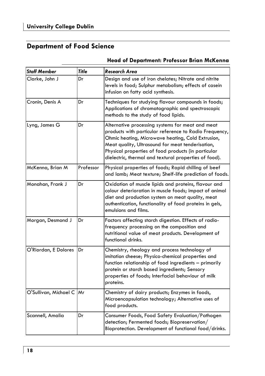# **Department of Food Science**

| <b>Staff Member</b>   | <b>Title</b> | <b>Research Area</b>                                                                                                                                                                                                                                                                                                                |  |
|-----------------------|--------------|-------------------------------------------------------------------------------------------------------------------------------------------------------------------------------------------------------------------------------------------------------------------------------------------------------------------------------------|--|
| Clarke, John J        | Dr           | Design and use of iron chelates; Nitrate and nitrite<br>levels in food; Sulphur metabolism; effects of casein<br>infusion on fatty acid synthesis.                                                                                                                                                                                  |  |
| Cronin, Denis A       | Dr           | Techniques for studying flavour compounds in foods;<br>Applications of chromatographic and spectroscopic<br>methods to the study of food lipids.                                                                                                                                                                                    |  |
| Lyng, James G         | Dr           | Alternative processing systems for meat and meat<br>products with particular reference to Radio Frequency,<br>Ohmic heating, Microwave heating, Cold Extrusion,<br>Meat quality, Ultrasound for meat tenderisation,<br>Physical properties of food products (in particular<br>dielectric, thermal and textural properties of food). |  |
| McKenna, Brian M      | Professor    | Physical properties of foods; Rapid chilling of beef<br>and lamb; Meat texture; Shelf-life prediction of foods.                                                                                                                                                                                                                     |  |
| Monahan, Frank J      | Dr           | Oxidation of muscle lipids and proteins, flavour and<br>colour deterioration in muscle foods; impact of animal<br>diet and production system on meat quality, meat<br>authentication, functionality of food proteins in gels,<br>emulsions and films.                                                                               |  |
| Morgan, Desmond J     | Dr           | Factors affecting starch digestion. Effects of radio-<br>frequency processing on the composition and<br>nutritional value of meat products. Development of<br>functional drinks.                                                                                                                                                    |  |
| O'Riordan, E Dolores  | Dr           | Chemistry, rheology and process technology of<br>imitation cheese; Physico-chemical properties and<br>function relationship of food ingredients - primarily<br>protein or starch based ingredients; Sensory<br>properties of foods; Interfacial behaviour of milk<br>proteins.                                                      |  |
| O'Sullivan, Michael C | Mr           | Chemistry of dairy products; Enzymes in foods,<br>Microencapsulation technology; Alternative uses of<br>food products.                                                                                                                                                                                                              |  |
| Scannell, Amalia      | Dr           | Consumer Foods, Food Safety Evaluation/Pathogen<br>detection; Fermented foods; Biopreservation/<br>Bioprotection. Development of functional food/drinks.                                                                                                                                                                            |  |

# **Head of Department: Professor Brian McKenna**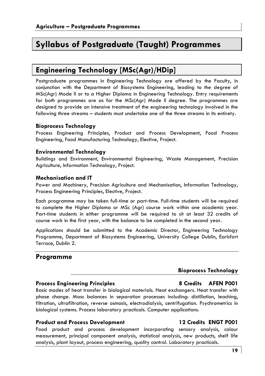# **Syllabus of Postgraduate (Taught) Programmes**

# **Engineering Technology [MSc(Agr)/HDip]**

Postgraduate programmes in Engineering Technology are offered by the Faculty, in conjunction with the Department of Biosystems Engineering, leading to the degree of MSc(Agr) Mode II or to a Higher Diploma in Engineering Technology. Entry requirements for both programmes are as for the MSc(Agr) Mode II degree. The programmes are designed to provide an intensive treatment of the engineering technology involved in the following three streams – students must undertake one of the three streams in its entirety.

### **Bioprocess Technology**

Process Engineering Principles, Product and Process Development, Food Process Engineering, Food Manufacturing Technology, Elective, Project.

### **Environmental Technology**

Buildings and Environment, Environmental Engineering, Waste Management, Precision Agriculture, Information Technology, Project.

### **Mechanisation and IT**

Power and Machinery, Precision Agriculture and Mechanisation, Information Technology, Process Engineering Principles, Elective, Project.

Each programme may be taken full-time or part-time. Full-time students will be required to complete the Higher Diploma or MSc (Agr) course work within one academic year. Part-time students in either programme will be required to sit at least 32 credits of course work in the first year, with the balance to be completed in the second year.

Applications should be submitted to the Academic Director, Engineering Technology Programme, Department of Biosystems Engineering, University College Dublin, Earlsfort Terrace, Dublin 2.

# **Programme**

# **Bioprocess Technology**

# **Process Engineering Principles 8 Credits AFEN P001**

Basic modes of heat transfer in biological materials. Heat exchangers. Heat transfer with phase change. Mass balances in separation processes including: distillation, leaching, filtration, ultrafiltration, reverse osmosis, electrodialysis, centrifugation. Psychrometrics in biological systems. Process laboratory practicals. Computer applications.

### **Product and Process Development 12 Credits ENGT P001**

Food product and process development incorporating sensory analysis, colour measurement, principal component analysis, statistical analysis, new products, shelf life analysis, plant layout, process engineering, quality control. Laboratory practicals.

### **19**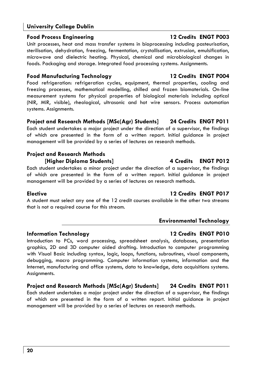# **Food Process Engineering 12 Credits ENGT P003**

Unit processes, heat and mass transfer systems in bioprocessing including pasteurisation, sterilisation, dehydration, freezing, fermentation, crystallisation, extrusion, emulsification, microwave and dielectric heating. Physical, chemical and microbiological changes in foods. Packaging and storage. Integrated food processing systems. Assignments.

# **Food Manufacturing Technology 12 Credits ENGT P004**

Food refrigeration: refrigeration cycles, equipment, thermal properties, cooling and freezing processes, mathematical modelling, chilled and frozen biomaterials. On-line measurement systems for physical properties of biological materials including optical (NIR, MIR, visible), rheological, ultrasonic and hot wire sensors. Process automation systems. Assignments.

# **Project and Research Methods [MSc(Agr) Students] 24 Credits ENGT P011**

Each student undertakes a major project under the direction of a supervisor, the findings of which are presented in the form of a written report. Initial guidance in project management will be provided by a series of lectures on research methods.

# **Project and Research Methods**

**[Higher Diploma Students] 4 Credits ENGT P012** 

Each student undertakes a minor project under the direction of a supervisor, the findings of which are presented in the form of a written report. Initial guidance in project management will be provided by a series of lectures on research methods.

A student must select any one of the 12 credit courses available in the other two streams that is not a required course for this stream.

# **Information Technology 12 Credits ENGT P010**

Introduction to PCs, word processing, spreadsheet analysis, databases, presentation graphics, 2D and 3D computer aided drafting. Introduction to computer programming with Visual Basic including syntax, logic, loops, functions, subroutines, visual components, debugging, macro programming. Computer information systems, information and the Internet, manufacturing and office systems, data to knowledge, data acquisitions systems. Assignments.

**Project and Research Methods [MSc(Agr) Students] 24 Credits ENGT P011**  Each student undertakes a major project under the direction of a supervisor, the findings of which are presented in the form of a written report. Initial guidance in project management will be provided by a series of lectures on research methods.

# **Elective 12 Credits ENGT P017**

**Environmental Technology**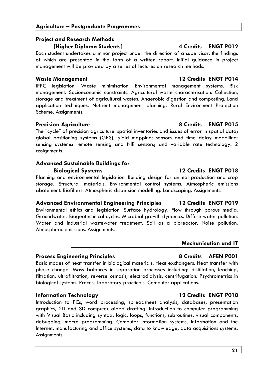# **Agriculture – Postgraduate Programmes**

# **Project and Research Methods [Higher Diploma Students] 4 Credits ENGT P012**

Each student undertakes a minor project under the direction of a supervisor, the findings of which are presented in the form of a written report. Initial guidance in project management will be provided by a series of lectures on research methods.

# **Waste Management 12 Credits ENGT P014**

IPPC legislation. Waste minimisation. Environmental management systems. Risk management. Socioeconomic constraints. Agricultural waste characterisation. Collection, storage and treatment of agricultural wastes. Anaerobic digestion and composting. Land application techniques. Nutrient management planning. Rural Environment Protection Scheme. Assignments.

# **Precision Agriculture 1999 120 Credits ENGT P015**

The "cycle" of precision agriculture: spatial inventories and issues of error in spatial data; global positioning systems (GPS); yield mapping: sensors and time delay modelling: sensing systems: remote sensing and NIR sensors; and variable rate technology. 2 assignments.

# **Advanced Sustainable Buildings for Biological Systems 12 Credits ENGT P018**

Planning and environmental legislation. Building design for animal production and crop storage. Structural materials. Environmental control systems. Atmospheric emissions abatement. Biofilters. Atmospheric dispersion modelling. Landscaping. Assignments.

# **Advanced Environmental Engineering Principles 12 Credits ENGT P019**

Environmental ethics and legislation. Surface hydrology. Flow through porous media. Groundwater. Biogeotechnical cycles. Microbial growth dynamics. Diffuse water pollution. Water and industrial wastewater treatment. Soil as a bioreactor. Noise pollution. Atmospheric emissions. Assignments.

# **Mechanisation and IT**

# **Process Engineering Principles 8 Credits AFEN P001**

Basic modes of heat transfer in biological materials. Heat exchangers. Heat transfer with phase change. Mass balances in separation processes including: distillation, leaching, filtration, ultrafiltration, reverse osmosis, electrodialysis, centrifugation. Psychrometrics in biological systems. Process laboratory practicals. Computer applications.

# **Information Technology 12 Credits ENGT P010**

Introduction to PCs, word processing, spreadsheet analysis, databases, presentation graphics, 2D and 3D computer aided drafting. Introduction to computer programming with Visual Basic including syntax, logic, loops, functions, subroutines, visual components, debugging, macro programming. Computer information systems, information and the Internet, manufacturing and office systems, data to knowledge, data acquisitions systems. Assignments.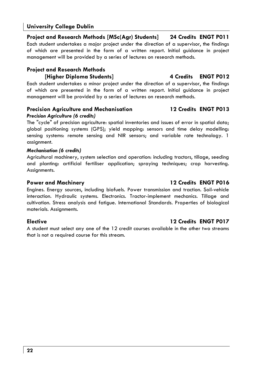# **Project and Research Methods [MSc(Agr) Students] 24 Credits ENGT P011**  Each student undertakes a major project under the direction of a supervisor, the findings of which are presented in the form of a written report. Initial guidance in project management will be provided by a series of lectures on research methods.

# **Project and Research Methods [Higher Diploma Students] 4 Credits ENGT P012**

Each student undertakes a minor project under the direction of a supervisor, the findings of which are presented in the form of a written report. Initial guidance in project management will be provided by a series of lectures on research methods.

# **Precision Agriculture and Mechanisation 12 Credits ENGT P013**

# *Precision Agriculture (6 credits)*

The "cycle" of precision agriculture: spatial inventories and issues of error in spatial data; global positioning systems (GPS); yield mapping: sensors and time delay modelling: sensing systems: remote sensing and NIR sensors; and variable rate technology. 1 assignment.

# *Mechanisation (6 credits)*

Agricultural machinery, system selection and operation: including tractors, tillage, seeding and planting: artificial fertiliser application; spraying techniques; crop harvesting. Assianments.

# **Power and Machinery 12 Credits ENGT P016**

Engines. Energy sources, including biofuels. Power transmission and traction. Soil-vehicle interaction. Hydraulic systems. Electronics. Tractor-implement mechanics. Tillage and cultivation. Stress analysis and fatigue. International Standards. Properties of biological materials. Assignments.

A student must select any one of the 12 credit courses available in the other two streams that is not a required course for this stream.

# **Elective 12 Credits ENGT P017**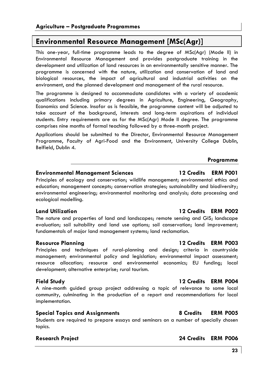# **Environmental Resource Management [MSc(Agr)]**

This one-year, full-time programme leads to the degree of MSc(Agr) (Mode II) in Environmental Resource Management and provides postgraduate training in the development and utilization of land resources in an environmentally sensitive manner. The programme is concerned with the nature, utilization and conservation of land and biological resources, the impact of agricultural and industrial activities on the environment, and the planned development and management of the rural resource.

The programme is designed to accommodate candidates with a variety of academic qualifications including primary degrees in Agriculture, Engineering, Geography, Economics and Science. Insofar as is feasible, the programme content will be adjusted to take account of the background, interests and long-term aspirations of individual students. Entry requirements are as for the MSc(Agr) Mode II degree. The programme comprises nine months of formal teaching followed by a three-month project.

Applications should be submitted to the Director, Environmental Resource Management Programme, Faculty of Agri-Food and the Environment, University College Dublin, Belfield, Dublin 4.

### **Programme**

# **Environmental Management Sciences 12 Credits ERM P001**

Principles of ecology and conservation; wildlife management; environmental ethics and education; management concepts; conservation strategies; sustainability and biodiversity; environmental engineering; environmental monitoring and analysis; data processing and ecological modelling.

# **Land Utilization 12 Credits ERM P002**

The nature and properties of land and landscapes; remote sensing and GIS; landscape evaluation; soil suitability and land use options; soil conservation; land improvement; fundamentals of major land management systems; land reclamation.

# **Resource Planning 12 Credits ERM P003**

Principles and techniques of rural-planning and design; criteria in countryside management; environmental policy and legislation; environmental impact assessment; resource allocation; resource and environmental economics; EU funding; local development; alternative enterprise; rural tourism.

A nine-month guided group project addressing a topic of relevance to some local community, culminating in the production of a report and recommendations for local implementation.

# **Special Topics and Assignments 8 Credits ERM P005**

Students are required to prepare essays and seminars on a number of specially chosen topics.

# **Field Study 12 Credits ERM P004**

# **Research Project 24 Credits ERM P006**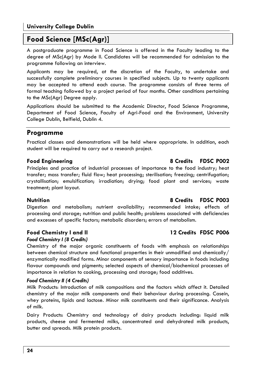**24** 

# **University College Dublin**

# **Food Science [MSc(Agr)]**

A postgraduate programme in Food Science is offered in the Faculty leading to the degree of MSc(Agr) by Mode II. Candidates will be recommended for admission to the programme following an interview.

Applicants may be required, at the discretion of the Faculty, to undertake and successfully complete preliminary courses in specified subjects. Up to twenty applicants may be accepted to attend each course. The programme consists of three terms of formal teaching followed by a project period of four months. Other conditions pertaining to the MSc(Agr) Degree apply.

Applications should be submitted to the Academic Director, Food Science Programme, Department of Food Science, Faculty of Agri-Food and the Environment, University College Dublin, Belfield, Dublin 4.

# **Programme**

Practical classes and demonstrations will be held where appropriate. In addition, each student will be required to carry out a research project.

# **Food Engineering 8 Credits FDSC P002**

Principles and practice of industrial processes of importance to the food industry; heat transfer; mass transfer; fluid flow; heat processing; sterilisation; freezing; centrifugation; crystallisation; emulsification; irradiation; drying; food plant and services; waste treatment; plant layout.

Digestion and metabolism; nutrient availability; recommended intake; effects of processing and storage; nutrition and public health; problems associated with deficiencies and excesses of specific factors; metabolic disorders; errors of metabolism.

# **Food Chemistry I and II 12 Credits FDSC P006**

# *Food Chemistry I (8 Credits)*

Chemistry of the major organic constituents of foods with emphasis on relationships between chemical structure and functional properties in their unmodified and chemically/ enzymatically modified forms. Minor components of sensory importance in foods including flavour compounds and pigments; selected aspects of chemical/biochemical processes of importance in relation to cooking, processing and storage; food additives.

# *Food Chemistry II (4 Credits)*

Milk Products: Introduction of milk compositions and the factors which affect it. Detailed chemistry of the major milk components and their behaviour during processing. Casein, whey proteins, lipids and lactose. Minor milk constituents and their significance. Analysis of milk.

Dairy Products: Chemistry and technology of dairy products including: liquid milk products, cheese and fermented milks, concentrated and dehydrated milk products, butter and spreads. Milk protein products.

# **Nutrition 8 Credits FDSC P003**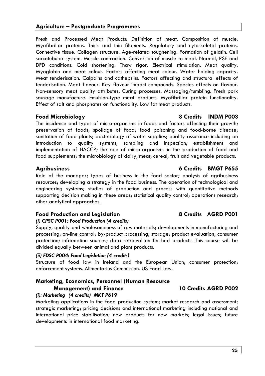**25**

# **Agriculture – Postgraduate Programmes**

Fresh and Processed Meat Products: Definition of meat. Composition of muscle. Myofibrillar proteins. Thick and thin filaments. Regulatory and cytoskeletal proteins. Connective tissue. Collagen structure. Age-related toughening. Formation of gelatin. Cell sarcotubular system. Muscle contraction. Conversion of muscle to meat. Normal, PSE and DFD conditions. Cold shortening. Thaw rigor. Electrical stimulation. Meat quality. Myoglobin and meat colour. Factors affecting meat colour. Water holding capacity. Meat tenderisation. Calpains and cathepsins. Factors affecting and structural effects of tenderisation. Meat flavour. Key flavour impact compounds. Species effects on flavour. Non-sensory meat quality attributes. Curing processes. Massaging/tumbling. Fresh pork sausage manufacture. Emulsion-type meat products. Myofibrillar protein functionality. Effect of salt and phosphates on functionality. Low fat meat products.

# **Food Microbiology 8 Credits INDM P003**

The incidence and types of micro-organisms in foods and factors affecting their growth; preservation of foods; spoilage of food; food poisoning and food-borne disease; sanitation of food plants; bacteriology of water supplies; quality assurance including an introduction to quality systems, sampling and inspection; establishment and implementation of HACCP; the role of micro-organisms in the production of food and food supplements; the microbiology of dairy, meat, cereal, fruit and vegetable products.

# **Agribusiness 6 Credits BMGT P655**

Role of the manager; types of business in the food sector; analysis of agribusiness resources; developing a strategy in the food business. The operation of technological and engineering systems; studies of production and process with quantitative methods supporting decision making in these areas; statistical quality control; operations research; other analytical approaches.

# **Food Production and Legislation 8 Credits AGRD P001**

# *(i) CPSC P001: Food Production (4 credits)*

Supply, quality and wholesomeness of raw materials; developments in manufacturing and processing; on-line control; by-product processing; storage; product evaluation; consumer protection; information sources; data retrieval on finished products. This course will be divided equally between animal and plant products.

# *(ii) FDSC P004: Food Legislation (4 credits)*

Structure of food law in Ireland and the European Union; consumer protection; enforcement systems. Alimentarius Commission. US Food Law.

# **Marketing, Economics, Personnel (Human Resource**

# *(i): Marketing (4 credits) MKT P619*

Marketing applications in the food production system; market research and assessment; strategic marketing; pricing decisions and international marketing including national and international price stabilisation; new products for new markets; legal issues; future developments in international food marketing.

# **Management) and Finance 10 Credits AGRD P002**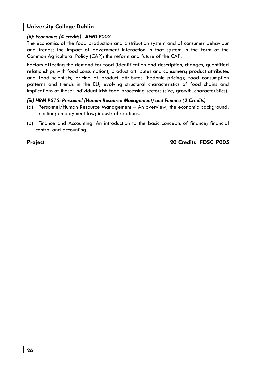# *(ii): Economics (4 credits) AERD P002*

The economics of the food production and distribution system and of consumer behaviour and trends; the impact of government interaction in that system in the form of the Common Agricultural Policy (CAP); the reform and future of the CAP.

Factors affecting the demand for food (identification and description, changes, quantified relationships with food consumption); product attributes and consumers; product attributes and food scientists; pricing of product attributes (hedonic pricing); food consumption patterns and trends in the EU; evolving structural characteristics of food chains and implications of these; individual Irish food processing sectors (size, growth, characteristics).

### *(iii) HRM P615: Personnel (Human Resource Management) and Finance (2 Credits)*

- (a) Personnel/Human Resource Management An overview; the economic background; selection; employment law; industrial relations.
- (b) Finance and Accounting: An introduction to the basic concepts of finance; financial control and accounting.

# **Project 20 Credits FDSC P005**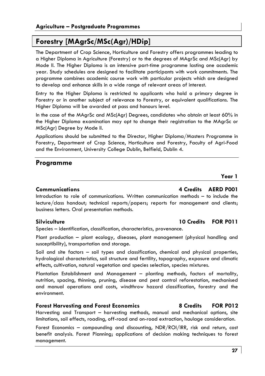# **Forestry [MAgrSc/MSc(Agr)/HDip]**

The Department of Crop Science, Horticulture and Forestry offers programmes leading to a Higher Diploma in Agriculture (Forestry) or to the degrees of MAgrSc and MSc(Agr) by Mode II. The Higher Diploma is an intensive part-time programme lasting one academic year. Study schedules are designed to facilitate participants with work commitments. The programme combines academic course work with particular projects which are designed to develop and enhance skills in a wide range of relevant areas of interest.

Entry to the Higher Diploma is restricted to applicants who hold a primary degree in Forestry or in another subject of relevance to Forestry, or equivalent qualifications. The Higher Diploma will be awarded at pass and honours level.

In the case of the MAgrSc and MSc(Agr) Degrees, candidates who obtain at least 60% in the Higher Diploma examination may opt to change their registration to the MAgrSc or MSc(Agr) Degree by Mode II.

Applications should be submitted to the Director, Higher Diploma/Masters Programme in Forestry, Department of Crop Science, Horticulture and Forestry, Faculty of Agri-Food and the Environment, University College Dublin, Belfield, Dublin 4.

# **Programme**

# **Year 1**

# **Communications 4 Credits AERD P001**

Introduction to role of communications. Written communication methods – to include the lecture/class handout; technical reports/papers; reports for management and clients; business letters. Oral presentation methods.

# **Silviculture 10 Credits FOR P011**

Species – identification, classification, characteristics, provenance.

Plant production – plant ecology, diseases, plant management (physical handling and susceptibility), transportation and storage.

Soil and site factors – soil types and classification, chemical and physical properties, hydrological characteristics, soil structure and fertility, topography, exposure and climatic effects, cultivation, natural vegetation and species selection, species mixtures.

Plantation Establishment and Management – planting methods, factors of mortality, nutrition, spacing, thinning, pruning, disease and pest control reforestation, mechanised and manual operations and costs, windthrow hazard classification, forestry and the environment.

# **Forest Harvesting and Forest Economics 8 Credits FOR P012**

Harvesting and Transport – harvesting methods, manual and mechanical options, site limitations, soil effects, roading, off-road and on-road extraction, haulage consideration.

Forest Economics – compounding and discounting, NDR/ROI/IRR, risk and return, cost benefit analysis. Forest Planning; applications of decision making techniques to forest management.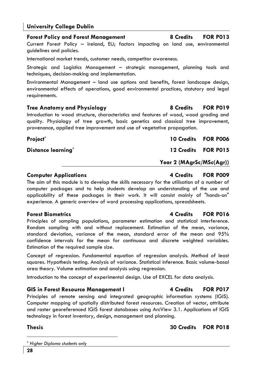Current Forest Policy – Ireland, EU; factors impacting on land use, environmental guidelines and policies.

International market trends, customer needs, competitor awareness.

Strategic and Logistics Management – strategic management, planning tools and techniques, decision-making and implementation.

Environmental Management – land use options and benefits, forest landscape design, environmental effects of operations, good environmental practices, statutory and legal requirements.

### **Tree Anatomy and Physiology 8 Credits FOR P019**

Introduction to wood structure, characteristics and features of wood, wood grading and quality. Physiology of tree growth, basic genetics and classical tree improvement, provenance, applied tree improvement and use of vegetative propagation.

**Distance learning\* 12 Credits FOR P015** 

**Computer Applications 6 Computer Applications 4 Credits FOR P009** The aim of this module is to develop the skills necessary for the utilisation of a number of computer packages and to help students develop an understanding of the use and applicability of these packages in their work. It will consist mainly of "hands-on" experience. A generic overview of word processing applications, spreadsheets.

Principles of sampling populations, parameter estimation and statistical interference. Random sampling with and without replacement. Estimation of the mean, variance, standard deviation, variance of the mean, standard error of the mean and 95% confidence intervals for the mean for continuous and discrete weighted variables. Estimation of the required sample size.

Concept of regression. Fundamental equation of regression analysis. Method of least squares. Hypothesis testing. Analysis of variance. Statistical inference. Basic volume-basal area theory. Volume estimation and analysis using regression.

Introduction to the concept of experimental design. Use of EXCEL for data analysis.

# GIS in Forest Resource Management I **Acker 4** Credits FOR P017

Principles of remote sensing and integrated geographic information systems (IGIS). Computer mapping of spatially distributed forest resources. Creation of vector, attribute and raster georeferenced IGIS forest databases using ArcView 3.1. Applications of IGIS technology in forest inventory, design, management and planning.

**Thesis 30 Credits FOR P018** 

**Year 2 (MAgrSc/MSc(Agr))** 

### **Forest Biometrics 4 Credits FOR P016**

**Forest Policy and Forest Management 8 Credits FOR P013** 

**Project\* 10 Credits FOR P006**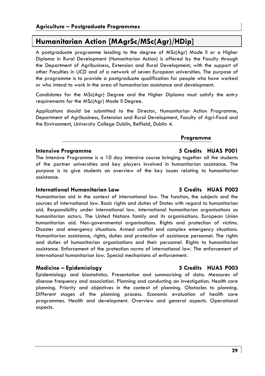# **Humanitarian Action [MAgrSc/MSc(Agr)/HDip]**

A postgraduate programme leading to the degree of MSc(Agr) Mode II or a Higher Diploma in Rural Development (Humanitarian Action) is offered by the Faculty through the Department of Agribusiness, Extension and Rural Development, with the support of other Faculties in UCD and of a network of seven European universities. The purpose of the programme is to provide a postgraduate qualification for people who have worked or who intend to work in the area of humanitarian assistance and development.

Candidates for the MSc(Agr) Degree and the Higher Diploma must satisfy the entry requirements for the MSc(Agr) Mode II Degree.

Applications should be submitted to the Director, Humanitarian Action Programme, Department of Agribusiness, Extension and Rural Development, Faculty of Agri-Food and the Environment, University College Dublin, Belfield, Dublin 4.

# **Programme**

### **Intensive Programme 5 Credits HUAS P001**

The Intensive Programme is a 10 day intensive course bringing together all the students of the partner universities and key players involved in humanitarian assistance. The purpose is to give students an overview of the key issues relating to humanitarian assistance.

### **International Humanitarian Law 5 Credits HUAS P002**

Humanitarian aid in the context of international law. The function, the subjects and the sources of international law. Basic rights and duties of States with regard to humanitarian aid. Responsibility under international law. International humanitarian organisations as humanitarian actors. The United Nations family and its organisations. European Union humanitarian aid. Non-governmental organisations. Rights and protection of victims. Disaster and emergency situations. Armed conflict and complex emergency situations. Humanitarian assistance, rights, duties and protection of assistance personnel. The rights and duties of humanitarian organisations and their personnel. Rights to humanitarian assistance. Enforcement of the protection norms of international law. The enforcement of international humanitarian law. Special mechanisms of enforcement.

# **Medicine – Epidemiology 5 Credits HUAS P003**

Epidemiology and biostatistics. Presentation and summarising of data. Measures of disease frequency and association. Planning and conducting an investigation. Health care planning. Priority and objectives in the context of planning. Obstacles to planning. Different stages of the planning process. Economic evaluation of health care programmes. Health and development. Overview and general aspects. Operational aspects.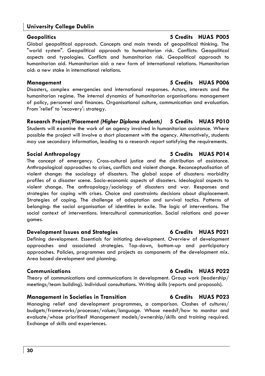### **30**

# **University College Dublin**

Global geopolitical approach. Concepts and main trends of geopolitical thinking. The "world system". Geopolitical approach to humanitarian risk. Conflicts: Geopolitical aspects and typologies. Conflicts and humanitarian risk. Geopolitical approach to humanitarian aid. Humanitarian aid: a new form of international relations. Humanitarian aid: a new stake in international relations.

# **Management 5 Credits HUAS P006**

Disasters, complex emergencies and international responses. Actors, interests and the humanitarian regime. The internal dynamics of humanitarian organisations: management of policy, personnel and finances. Organisational culture, communication and evaluation. From 'relief' to 'recovery': strategy.

**Research Project/Placement** *(Higher Diploma students)* **5 Credits HUAS P010**  Students will examine the work of an agency involved in humanitarian assistance. Where possible the project will involve a short placement with the agency. Alternatively, students may use secondary information, leading to a research report satisfying the requirements.

The concept of emergency. Cross-cultural justice and the distribution of assistance. Anthropological approaches to crises, conflicts and violent change. Reconceptualisation of violent change: the sociology of disasters. The global scope of disasters: morbidity profiles of a disaster scene. Socio-economic aspects of disasters. Ideological aspects to violent change. The anthropology/sociology of disasters and war. Responses and strategies for coping with crises. Choice and constraints: decisions about displacement. Strategies of coping. The challenge of adaptation and survival tactics. Patterns of belonging: the social organisation of identities in exile. The logic of interventions. The social context of interventions. Intercultural communication. Social relations and power games.

# **Development Issues and Strategies 6 Credits HUAS P021**

Defining development. Essentials for initiating development. Overview of development approaches and associated strategies. Top-down, bottom-up and participatory approaches. Policies, programmes and projects as components of the development mix. Area based development and planning.

# **Communications 6 Credits HUAS P022**

Theory of communications and communications in development. Group work (leadership/ meetings/team building). Individual consultations. Writing skills (reports and proposals).

# **Management in Societies in Transition 6 Credits HUAS P023**

Managing relief and development programmes, a comparison. Clashes of cultures/ budgets/frameworks/processes/values/language. Whose needs?/how to monitor and evaluate/whose priorities? Management models/ownership/skills and training required. Exchange of skills and experiences.

# **Social Anthropology 5 Credits HUAS P014**

# **Geopolitics 5 Credits HUAS P005**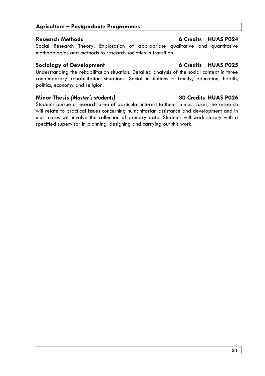# **Agriculture – Postgraduate Programmes**

# **Research Methods 6 Credits HUAS P024**

Social Research Theory. Exploration of appropriate qualitative and quantitative methodologies and methods to research societies in transition.

# Sociology of Development **6 Credits HUAS P025**

Understanding the rehabilitation situation. Detailed analysis of the social context in three contemporary rehabilitation situations. Social institutions – family, education, health, politics, economy and religion.

# **Minor Thesis** *(Master's students)* **30 Credits HUAS P026**

Students pursue a research area of particular interest to them. In most cases, the research will relate to practical issues concerning humanitarian assistance and development and in most cases will involve the collection of primary data. Students will work closely with a specified supervisor in planning, designing and carrying out this work.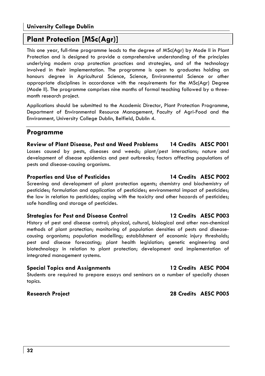# **Plant Protection [MSc(Agr)]**

This one year, full-time programme leads to the degree of MSc(Agr) by Mode II in Plant Protection and is designed to provide a comprehensive understanding of the principles underlying modern crop protection practices and strategies, and of the technology involved in their implementation. The programme is open to graduates holding an honours degree in Agricultural Science, Science, Environmental Science or other appropriate disciplines in accordance with the requirements for the MSc(Agr) Degree (Mode II). The programme comprises nine months of formal teaching followed by a threemonth research project.

Applications should be submitted to the Academic Director, Plant Protection Programme, Department of Environmental Resource Management, Faculty of Agri-Food and the Environment, University College Dublin, Belfield, Dublin 4.

# **Programme**

**Review of Plant Disease, Pest and Weed Problems 14 Credits AESC P001**  Losses caused by pests, diseases and weeds; plant/pest interactions; nature and development of disease epidemics and pest outbreaks; factors affecting populations of pests and disease-causing organisms.

# **Properties and Use of Pesticides 14 Credits AESC P002**

Screening and development of plant protection agents; chemistry and biochemistry of pesticides; formulation and application of pesticides; environmental impact of pesticides; the law in relation to pesticides; coping with the toxicity and other hazards of pesticides; safe handling and storage of pesticides.

# **Strategies for Pest and Disease Control 12 Credits AESC P003**

History of pest and disease control; physical, cultural, biological and other non-chemical methods of plant protection; monitoring of population densities of pests and diseasecausing organisms; population modelling; establishment of economic injury thresholds; pest and disease forecasting; plant health legislation; genetic engineering and biotechnology in relation to plant protection; development and implementation of integrated management systems.

# **Special Topics and Assignments 12 Credits AESC P004**

Students are required to prepare essays and seminars on a number of specially chosen topics.

# **Research Project 28 Credits AESC P005**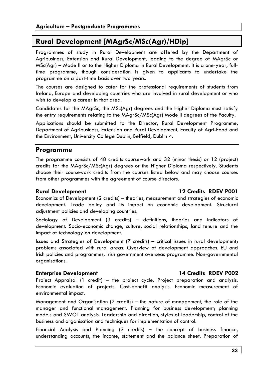# **Rural Development [MAgrSc/MSc(Agr)/HDip]**

Programmes of study in Rural Development are offered by the Department of Agribusiness, Extension and Rural Development, leading to the degree of MAgrSc or MSc(Agr) – Mode II or to the Higher Diploma in Rural Development. It is a one-year, fulltime programme, though consideration is given to applicants to undertake the programme on a part-time basis over two years.

The courses are designed to cater for the professional requirements of students from Ireland, Europe and developing countries who are involved in rural development or who wish to develop a career in that area.

Candidates for the MAgrSc, the MSc(Agr) degrees and the Higher Diploma must satisfy the entry requirements relating to the MAgrSc/MSc(Agr) Mode II degrees of the Faculty.

Applications should be submitted to the Director, Rural Development Programme, Department of Agribusiness, Extension and Rural Development, Faculty of Agri-Food and the Environment, University College Dublin, Belfield, Dublin 4.

# **Programme**

The programme consists of 48 credits coursework and 32 (minor thesis) or 12 (project) credits for the MAgrSc/MSc(Agr) degrees or the Higher Diploma respectively. Students choose their coursework credits from the courses listed below and may choose courses from other programmes with the agreement of course directors.

# **Rural Development 12 Credits RDEV P001**

Economics of Development (2 credits) – theories, measurement and strategies of economic development. Trade policy and its impact on economic development. Structural adjustment policies and developing countries.

Sociology of Development (3 credits) – definitions, theories and indicators of development. Socio-economic change, culture, social relationships, land tenure and the impact of technology on development.

Issues and Strategies of Development (7 credits) – critical issues in rural development; problems associated with rural areas. Overview of development approaches. EU and Irish policies and programmes, Irish government overseas programme. Non-governmental organisations.

# **Enterprise Development 14 Credits RDEV P002**

Project Appraisal (1 credit) – the project cycle. Project preparation and analysis. Economic evaluation of projects. Cost-benefit analysis. Economic measurement of environmental impact.

Management and Organisation (2 credits) – the nature of management, the role of the manager and functional management. Planning for business development; planning models and SWOT analysis. Leadership and direction, styles of leadership, control of the business and organisation and techniques for implementation of control.

Financial Analysis and Planning (3 credits) – the concept of business finance, understanding accounts, the income, statement and the balance sheet. Preparation of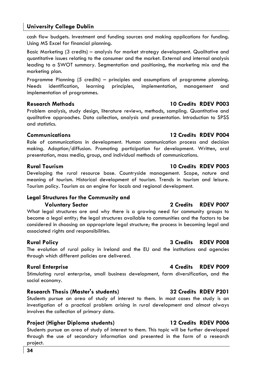cash flow budgets. Investment and funding sources and making applications for funding. Using MS Excel for financial planning.

Basic Marketing (3 credits) – analysis for market strategy development. Qualitative and quantitative issues relating to the consumer and the market. External and internal analysis leading to a SWOT summary. Segmentation and positioning, the marketing mix and the marketing plan.

Programme Planning (5 credits) – principles and assumptions of programme planning. Needs identification, learning principles, implementation, management and implementation of programmes.

# **Research Methods 10 Credits RDEV P003**

Problem analysis, study design, literature reviews, methods, sampling. Quantitative and qualitative approaches. Data collection, analysis and presentation. Introduction to SPSS and statistics.

# **Communications 12 Credits RDEV P004**

Role of communications in development. Human communication process and decision making. Adoption/diffusion. Promoting participation for development. Written, oral presentation, mass media, group, and individual methods of communications.

# **Rural Tourism 10 Credits RDEV P005**

Developing the rural resource base. Countryside management. Scope, nature and meaning of tourism. Historical development of tourism. Trends in tourism and leisure. Tourism policy. Tourism as an engine for locals and regional development.

# **Legal Structures for the Community and Voluntary Sector 2 Credits RDEV P007**

What legal structures are and why there is a growing need for community groups to become a legal entity; the legal structures available to communities and the factors to be considered in choosing an appropriate legal structure; the process in becoming legal and associated rights and responsibilities.

The evolution of rural policy in Ireland and the EU and the institutions and agencies through which different policies are delivered.

# **Rural Enterprise 4 Credits RDEV P009**

Stimulating rural enterprise, small business development, farm diversification, and the social economy.

# **Research Thesis (Master's students) 32 Credits RDEV P201**

Students pursue an area of study of interest to them. In most cases the study is an investigation of a practical problem arising in rural development and almost always involves the collection of primary data.

# **Project (Higher Diploma students) 12 Credits RDEV P006**

Students pursue an area of study of interest to them. This topic will be further developed through the use of secondary information and presented in the form of a research project.

# **Rural Policy 3 Credits RDEV P008**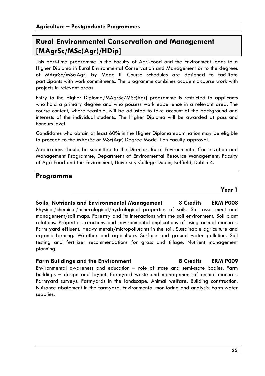# **Rural Environmental Conservation and Management [MAgrSc/MSc(Agr)/HDip]**

This part-time programme in the Faculty of Agri-Food and the Environment leads to a Higher Diploma in Rural Environmental Conservation and Management or to the degrees of MAgrSc/MSc(Agr) by Mode II. Course schedules are designed to facilitate participants with work commitments. The programme combines academic course work with projects in relevant areas.

Entry to the Higher Diploma/MAgrSc/MSc(Agr) programme is restricted to applicants who hold a primary degree and who possess work experience in a relevant area. The course content, where feasible, will be adjusted to take account of the background and interests of the individual students. The Higher Diploma will be awarded at pass and honours level.

Candidates who obtain at least 60% in the Higher Diploma examination may be eligible to proceed to the MAgrSc or MSc(Agr) Degree Mode II on Faculty approval.

Applications should be submitted to the Director, Rural Environmental Conservation and Management Programme, Department of Environmental Resource Management, Faculty of Agri-Food and the Environment, University College Dublin, Belfield, Dublin 4.

# **Programme**

**Year 1** 

# **Soils, Nutrients and Environmental Management 8 Credits ERM P008**  Physical/chemical/mineralogical/hydrological properties of soils. Soil assessment and management/soil maps. Forestry and its interactions with the soil environment. Soil plant relations. Properties, reactions and environmental implications of using animal manures. Farm yard effluent. Heavy metals/micropollutants in the soil. Sustainable agriculture and organic farming. Weather and agriculture. Surface and ground water pollution. Soil testing and fertilizer recommendations for grass and tillage. Nutrient management planning.

# **Farm Buildings and the Environment 8 Credits ERM P009**

Environmental awareness and education – role of state and semi-state bodies. Farm buildings – design and layout. Farmyard waste and management of animal manures. Farmyard surveys. Farmyards in the landscape. Animal welfare. Building construction. Nuisance abatement in the farmyard. Environmental monitoring and analysis. Farm water supplies.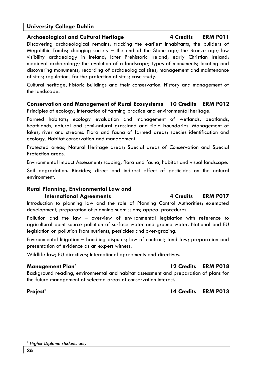# **Archaeological and Cultural Heritage 4 Credits ERM P011**

Discovering archaeological remains; tracking the earliest inhabitants; the builders of Megalithic Tombs; changing society – the end of the Stone age; the Bronze age; low visibility archaeology in Ireland; later Prehistoric Ireland; early Christian Ireland; medieval archaeology; the evolution of a landscape; types of monuments; locating and discovering monuments; recording of archaeological sites; management and maintenance of sites; regulations for the protection of sites; case study.

Cultural heritage, historic buildings and their conservation. History and management of the landscape.

# **Conservation and Management of Rural Ecosystems 10 Credits ERM P012**

Principles of ecology; interaction of farming practice and environmental heritage.

Farmed habitats; ecology evaluation and management of wetlands, peatlands, heathlands, natural and semi-natural grassland and field boundaries. Management of lakes, river and streams. Flora and fauna of farmed areas; species identification and ecology. Habitat conservation and management.

Protected areas; Natural Heritage areas; Special areas of Conservation and Special Protection areas.

Environmental Impact Assessment; scoping, flora and fauna, habitat and visual landscape.

Soil degradation. Biocides; direct and indirect effect of pesticides on the natural environment.

# **Rural Planning, Environmental Law and International Agreements** 4 Credits ERM P017

Introduction to planning law and the role of Planning Control Authorities; exempted development; preparation of planning submissions; appeal procedures.

Pollution and the law – overview of environmental legislation with reference to agricultural point source pollution of surface water and ground water. National and EU legislation on pollution from nutrients, pesticides and over-grazing.

Environmental litigation – handling disputes; law of contract; land law; preparation and presentation of evidence as an expert witness.

Wildlife law; EU directives; International agreements and directives.

# **Management Plan\* 12 Credits ERM P018**

Background reading, environmental and habitat assessment and preparation of plans for the future management of selected areas of conservation interest.

# **Project\* 14 Credits ERM P013**

<sup>\*</sup> *Higher Diploma students only*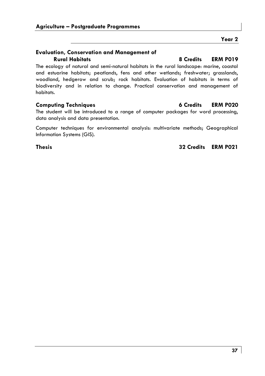# **Evaluation, Conservation and Management of**

The ecology of natural and semi-natural habitats in the rural landscape: marine, coastal and estuarine habitats; peatlands, fens and other wetlands; freshwater; grasslands, woodland, hedgerow and scrub; rock habitats. Evaluation of habitats in terms of biodiversity and in relation to change. Practical conservation and management of habitats.

The student will be introduced to a range of computer packages for word processing, data analysis and data presentation.

Computer techniques for environmental analysis: multivariate methods; Geographical Information Systems (GIS).

**Thesis 32 Credits ERM P021** 

# **Rural Habitats 8 Credits ERM P019**

**Year 2** 

# **Computing Techniques 6 Credits ERM P020**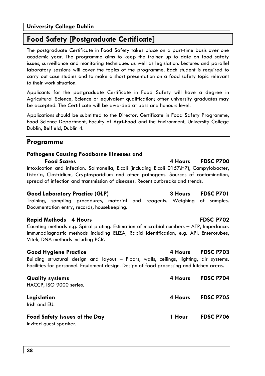# **Food Safety [Postgraduate Certificate]**

The postgraduate Certificate in Food Safety takes place on a part-time basis over one academic year. The programme aims to keep the trainer up to date on food safety issues, surveillance and monitoring techniques as well as legislation. Lectures and parallel laboratory sessions will cover the topics of the programme. Each student is required to carry out case studies and to make a short presentation on a food safety topic relevant to their work situation.

Applicants for the postgraduate Certificate in Food Safety will have a degree in Agricultural Science, Science or equivalent qualification; other university graduates may be accepted. The Certificate will be awarded at pass and honours level.

Applications should be submitted to the Director, Certificate in Food Safety Programme, Food Science Department, Faculty of Agri-Food and the Environment, University College Dublin, Belfield, Dublin 4.

# **Programme**

# **Pathogens Causing Foodborne Illnesses and**

### **Food Scares 4 Hours FDSC P700**

Intoxication and infection. Salmonella, E.coli (including E.coli 0157:H7), Campylobacter, Listeria, Clostridium, Cryptosporidium and other pathogens. Sources of contamination, spread of infection and transmission of diseases. Recent outbreaks and trends.

# **Good Laboratory Practice (GLP) 3 Hours FDSC P701**

Training, sampling procedures, material and reagents. Weighing of samples. Documentation entry, records, housekeeping.

# **Rapid Methods 4 Hours FDSC P702**

Counting methods e.g. Spiral plating. Estimation of microbial numbers – ATP, Impedance. Immunodiagnostic methods including ELIZA, Rapid identification, e.g. API, Enterotubes, Vitek, DNA methods including PCR.

# **Good Hygiene Practice 4 Hours FDSC P703**

Building structural design and layout – Floors, walls, ceilings, lighting, air systems. Facilities for personnel. Equipment design. Design of food processing and kitchen areas.

HACCP, ISO 9000 series.

Irish and EU.

# **Food Safety Issues of the Day 1 Hour FDSC P706**

Invited guest speaker.

# **Quality systems 4 Hours FDSC P704 Legislation 4 Hours FDSC P705**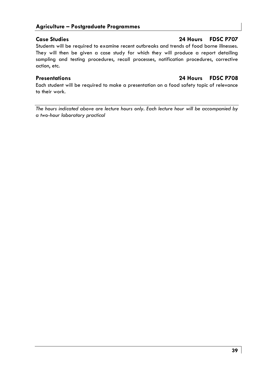Students will be required to examine recent outbreaks and trends of food borne illnesses. They will then be given a case study for which they will produce a report detailing sampling and testing procedures, recall processes, notification procedures, corrective action, etc.

# **Presentations 24 Hours FDSC P708**

Each student will be required to make a presentation on a food safety topic of relevance to their work.

*The hours indicated above are lecture hours only. Each lecture hour will be accompanied by a two-hour laboratory practical* 

# **Case Studies 24 Hours FDSC P707**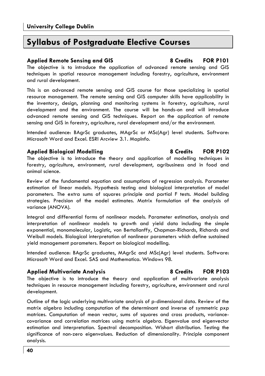# **Syllabus of Postgraduate Elective Courses**

# **Applied Remote Sensing and GIS 8 Credits FOR P101**

The objective is to introduce the application of advanced remote sensing and GIS techniques in spatial resource management including forestry, agriculture, environment and rural development.

This is an advanced remote sensing and GIS course for those specializing in spatial resource management. The remote sensing and GIS computer skills have applicability in the inventory, design, planning and monitoring systems in forestry, agriculture, rural development and the environment. The course will be hands-on and will introduce advanced remote sensing and GIS techniques. Report on the application of remote sensing and GIS in forestry, agriculture, rural development and/or the environment.

Intended audience: BAgrSc graduates, MAgrSc or MSc(Agr) level students. Software: Microsoft Word and Excel. ESRI Arcview 3.1. MapInfo.

# **Applied Biological Modelling 8 Credits FOR P102**

The objective is to introduce the theory and application of modelling techniques in forestry, agriculture, environment, rural development, agribusiness and in food and animal science.

Review of the fundamental equation and assumptions of regression analysis. Parameter estimation of linear models. Hypothesis testing and biological interpretation of model parameters. The extra sums of squares principle and partial F tests. Model building strategies. Precision of the model estimates. Matrix formulation of the analysis of variance (ANOVA).

Integral and differential forms of nonlinear models. Parameter estimation, analysis and interpretation of nonlinear models to growth and yield data including the simple exponential, monomolecular, Logistic, von Bertallanffy, Chapman-Richards, Richards and Weibull models. Biological interpretation of nonlinear parameters which define sustained yield management parameters. Report on biological modelling.

Intended audience: BAgrSc graduates, MAgrSc and MSc(Agr) level students. Software: Microsoft Word and Excel. SAS and Mathematica. Windows 98.

# **Applied Multivariate Analysis 8 Credits FOR P103**

The objective is to introduce the theory and application of multivariate analysis techniques in resource management including forestry, agriculture, environment and rural development.

Outline of the logic underlying multivariate analysis of p-dimensional data. Review of the matrix algebra including computation of the determinant and inverse of symmetric pxp matrices. Computation of mean vector, sums of squares and cross products, variancecovariance and correlation matrices using matrix algebra. Eigenvalue and eigenvector estimation and interpretation. Spectral decomposition. Wishart distribution. Testing the significance of non-zero eigenvalues. Reduction of dimensionality. Principle component analysis.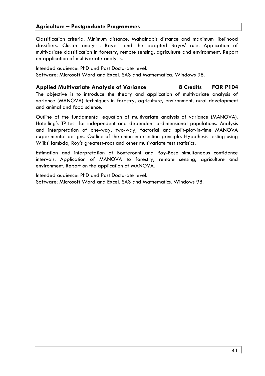Classification criteria. Minimum distance, Mahalnobis distance and maximum likelihood classifiers. Cluster analysis. Bayes' and the adapted Bayes' rule. Application of multivariate classification in forestry, remote sensing, agriculture and environment. Report on application of multivariate analysis.

Intended audience: PhD and Post Doctorate level. Software: Microsoft Word and Excel. SAS and Mathematica. Windows 98.

**Applied Multivariate Analysis of Variance 8 Credits FOR P104** 

The objective is to introduce the theory and application of multivariate analysis of variance (MANOVA) techniques in forestry, agriculture, environment, rural development and animal and food science.

Outline of the fundamental equation of multivariate analysis of variance (MANOVA). Hotelling's T2 test for independent and dependent p-dimensional populations. Analysis and interpretation of one-way, two-way, factorial and split-plot-in-time MANOVA experimental designs. Outline of the union-intersection principle. Hypothesis testing using Wilks' lambda, Roy's greatest-root and other multivariate test statistics.

Estimation and interpretation of Bonferonni and Roy-Bose simultaneous confidence intervals. Application of MANOVA to forestry, remote sensing, agriculture and environment. Report on the application of MANOVA.

Intended audience: PhD and Post Doctorate level. Software: Microsoft Word and Excel. SAS and Mathematics. Windows 98.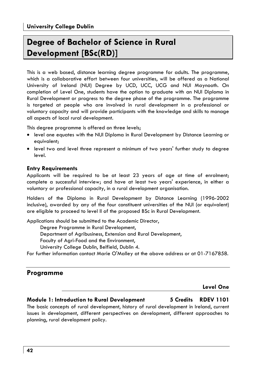# **Degree of Bachelor of Science in Rural Development [BSc(RD)]**

This is a web based, distance learning degree programme for adults. The programme, which is a collaborative effort between four universities, will be offered as a National University of Ireland (NUI) Degree by UCD, UCC, UCG and NUI Maynooth. On completion of Level One, students have the option to graduate with an NUI Diploma in Rural Development or progress to the degree phase of the programme. The programme is targeted at people who are involved in rural development in a professional or voluntary capacity and will provide participants with the knowledge and skills to manage all aspects of local rural development.

This degree programme is offered on three levels;

- level one equates with the NUI Diploma in Rural Development by Distance Learning or equivalent;
- level two and level three represent a minimum of two years' further study to degree level.

# **Entry Requirements**

Applicants will be required to be at least 23 years of age at time of enrolment; complete a successful interview; and have at least two years' experience, in either a voluntary or professional capacity, in a rural development organisation.

Holders of the Diploma in Rural Development by Distance Learning (1996-2002 inclusive), awarded by any of the four constituent universities of the NUI (or equivalent) are eligible to proceed to level II of the proposed BSc in Rural Development.

Applications should be submitted to the Academic Director,

Degree Programme in Rural Development,

Department of Agribusiness, Extension and Rural Development,

Faculty of Agri-Food and the Environment,

University College Dublin, Belfield, Dublin 4.

For further information contact Marie O'Malley at the above address or at 01-7167858.

# **Programme**

# **Level One**

# **Module 1: Introduction to Rural Development 5 Credits RDEV 1101**

The basic concepts of rural development, history of rural development in Ireland, current issues in development, different perspectives on development, different approaches to planning, rural development policy.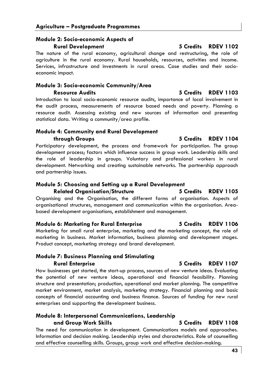# **Module 2: Socio-economic Aspects of Rural Development 5 Credits RDEV 1102**

The nature of the rural economy, agricultural change and restructuring, the role of agriculture in the rural economy. Rural households, resources, activities and income. Services, infrastructure and investments in rural areas. Case studies and their socioeconomic impact.

# **Module 3: Socio-economic Community/Area**

**Resource Audits 5 Credits RDEV 1103**  Introduction to local socio-economic resource audits, importance of local involvement in the audit process, measurements of resource based needs and poverty. Planning a resource audit. Assessing existing and new sources of information and presenting statistical data. Writing a community/area profile.

# **Module 4: Community and Rural Development**

**through Groups 5 Credits RDEV 1104** 

Participatory development, the process and framework for participation. The group development process; factors which influence success in group work. Leadership skills and the role of leadership in groups. Voluntary and professional workers in rural development. Networking and creating sustainable networks. The partnership approach and partnership issues.

# **Module 5: Choosing and Setting up a Rural Development**

# **Related Organisation/Structure 5 Credits RDEV 1105**

Organising and the Organisation, the different forms of organisation. Aspects of organisational structures, management and communication within the organisation. Areabased development organisations, establishment and management.

# **Module 6: Marketing for Rural Enterprise 5 Credits RDEV 1106**

Marketing for small rural enterprise, marketing and the marketing concept, the role of marketing in business. Market information, business planning and development stages. Product concept, marketing strategy and brand development.

# **Module 7: Business Planning and Stimulating Rural Enterprise 5 Credits RDEV 1107**

How businesses get started, the start-up process, sources of new venture ideas. Evaluating the potential of new venture ideas, operational and financial feasibility. Planning structure and presentation; production, operational and market planning. The competitive market environment, market analysis, marketing strategy. Financial planning and basic concepts of financial accounting and business finance. Sources of funding for new rural enterprises and supporting the development business.

# **Module 8: Interpersonal Communications, Leadership and Group Work Skills 5 Credits RDEV 1108**

The need for communication in development. Communications models and approaches. Information and decision making. Leadership styles and characteristics. Role of counselling and effective counselling skills. Groups, group work and effective decision-making.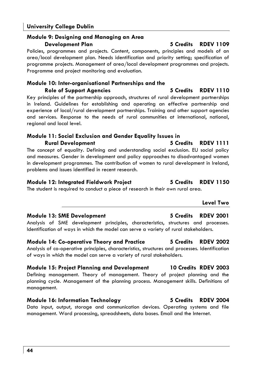# **Module 9: Designing and Managing an Area Development Plan 5 Credits RDEV 1109**

Policies, programmes and projects. Content, components, principles and models of an area/local development plan. Needs identification and priority setting; specification of programme projects. Management of area/local development programmes and projects. Programme and project monitoring and evaluation.

# **Module 10: Inter-organisational Partnerships and the Role of Support Agencies 5 Credits RDEV 1110**

Key principles of the partnership approach, structures of rural development partnerships in Ireland. Guidelines for establishing and operating an effective partnership and experience of local/rural development partnerships. Training and other support agencies and services. Response to the needs of rural communities at international, national, regional and local level.

# **Module 11: Social Exclusion and Gender Equality Issues in Rural Development 5 Credits RDEV 1111**

The concept of equality. Defining and understanding social exclusion. EU social policy and measures. Gender in development and policy approaches to disadvantaged women in development programmes. The contribution of women to rural development in Ireland, problems and issues identified in recent research.

# **Module 12: Integrated Fieldwork Project 5 Credits RDEV 1150**

The student is required to conduct a piece of research in their own rural area.

# **Module 13: SME Development 5 Credits RDEV 2001**

Analysis of SME development principles, characteristics, structures and processes. Identification of ways in which the model can serve a variety of rural stakeholders.

### **Module 14: Co-operative Theory and Practice 5 Credits RDEV 2002**  Analysis of co-operative principles, characteristics, structures and processes. Identification of ways in which the model can serve a variety of rural stakeholders.

# **Module 15: Project Planning and Development 10 Credits RDEV 2003**  Defining management. Theory of management. Theory of project planning and the planning cycle. Management of the planning process. Management skills. Definitions of management.

# **Module 16: Information Technology 5 Credits RDEV 2004**

Data input, output, storage and communication devices. Operating systems and file management. Word processing, spreadsheets, data bases. Email and the Internet.

**Level Two**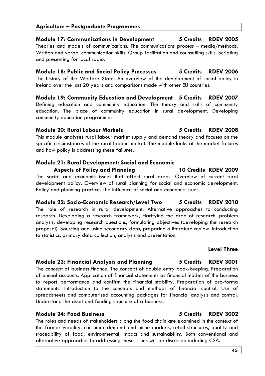# **Module 17: Communications in Development 5 Credits RDEV 2005**

Theories and models of communications. The communications process – media/methods. Written and verbal communication skills. Group facilitation and counselling skills. Scripting and presenting for local radio.

# **Module 18: Public and Social Policy Processes 5 Credits RDEV 2006**

The history of the Welfare State. An overview of the development of social policy in Ireland over the last 20 years and comparisons made with other EU countries.

**Module 19: Community Education and Development 5 Credits RDEV 2007**  Defining education and community education. The theory and skills of community education. The place of community education in rural development. Developing community education programmes.

### **Module 20: Rural Labour Markets 5 Credits RDEV 2008**

This module analyses rural labour market supply and demand theory and focuses on the specific circumstances of the rural labour market. The module looks at the market failures and how policy is addressing these failures.

# **Module 21: Rural Development: Social and Economic**

# **Aspects of Policy and Planning 10 Credits RDEV 2009**

The social and economic issues that affect rural areas. Overview of current rural development policy. Overview of rural planning for social and economic development. Policy and planning practice. The influence of social and economic issues.

**Module 22: Socio-Economic Research/Level Two 5 Credits RDEV 2010**  The role of research in rural development. Alternative approaches to conducting research. Developing a research framework, clarifying the area of research, problem analysis, developing research questions, formulating objectives (developing the research proposal). Sourcing and using secondary data, preparing a literature review. Introduction to statistics, primary data collection, analysis and presentation.

# **Level Three**

# **Module 23: Financial Analysis and Planning 5 Credits RDEV 3001**

The concept of business finance. The concept of double entry book-keeping. Preparation of annual accounts. Application of financial statements as financial models of the business to report performance and confirm the financial stability. Preparation of pro-forma statements. Introduction to the concepts and methods of financial control. Use of spreadsheets and computerised accounting packages for financial analysis and control. Understand the asset and funding structure of a business.

# **Module 24: Food Business 5 Credits RDEV 3002**

The roles and needs of stakeholders along the food chain are examined in the context of the farmer viability, consumer demand and niche markets, retail structures, quality and traceability of food, environmental impact and sustainability. Both conventional and alternative approaches to addressing these issues will be discussed including CSA.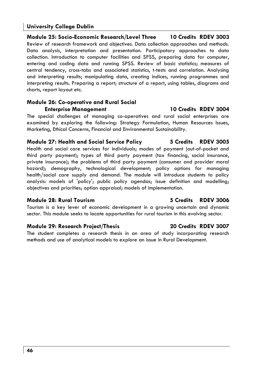**Module 25: Socio-Economic Research/Level Three 10 Credits RDEV 3003**  Review of research framework and objectives. Data collection approaches and methods. Data analysis, interpretation and presentation. Participatory approaches to data collection. Introduction to computer facilities and SPSS, preparing data for computer, entering and coding data and running SPSS. Review of basic statistics; measures of central tendency, cross-tabs and associated statistics, t-tests and correlation. Analysing and interpreting results; manipulating data, creating indices, running programmes and interpreting results. Preparing a report; structure of a report, using tables, diagrams and charts, report layout etc.

# **Module 26: Co-operative and Rural Social Enterprise Management 10 Credits RDEV 3004**

The special challenges of managing co-operatives and rural social enterprises are examined by exploring the following: Strategy Formulation, Human Resources Issues, Marketing, Ethical Concerns, Financial and Environmental Sustainability.

# **Module 27: Health and Social Service Policy 5 Credits RDEV 3005**

Health and social care services for individuals; modes of payment (out-of-pocket and third party payment); types of third party payment (tax financing, social insurance, private insurance); the problems of third party payment (consumer and provider moral hazard); demography, technological development; policy options for managing health/social care supply and demand. The module will introduce students to policy analysis: models of 'policy'; public policy agendas; issue definition and modelling; objectives and priorities; option appraisal; models of implementation.

# **Module 28: Rural Tourism 5 Credits RDEV 3006**

Tourism is a key lever of economic development in a growing uncertain and dynamic sector. This module seeks to locate opportunities for rural tourism in this evolving sector.

# **Module 29: Research Project/Thesis 20 Credits RDEV 3007**

The student completes a research thesis in an area of study incorporating research methods and use of analytical models to explore an issue in Rural Development.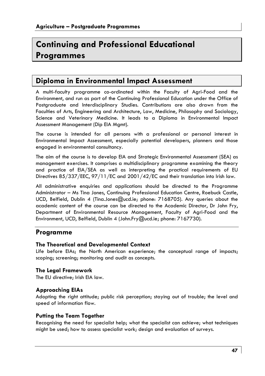# **Continuing and Professional Educational Programmes**

# **Diploma in Environmental Impact Assessment**

A multi-faculty programme co-ordinated within the Faculty of Agri-Food and the Environment, and run as part of the Continuing Professional Education under the Office of Postgraduate and Interdisciplinary Studies. Contributions are also drawn from the Faculties of Arts, Engineering and Architecture, Law, Medicine, Philosophy and Sociology, Science and Veterinary Medicine. It leads to a Diploma in Environmental Impact Assessment Management (Dip EIA Mgmt).

The course is intended for all persons with a professional or personal interest in Environmental Impact Assessment, especially potential developers, planners and those engaged in environmental consultancy.

The aim of the course is to develop EIA and Strategic Environmental Assessment (SEA) as management exercises. It comprises a multidisciplinary programme examining the theory and practice of EIA/SEA as well as interpreting the practical requirements of EU Directives 85/337/EEC, 97/11/EC and 2001/42/EC and their translation into Irish law.

All administrative enquiries and applications should be directed to the Programme Administrator – Ms Tina Jones, Continuing Professional Education Centre, Roebuck Castle, UCD, Belfield, Dublin 4 (Tina.Jones@ucd.ie; phone: 7168705). Any queries about the academic content of the course can be directed to the Academic Director, Dr John Fry, Department of Environmental Resource Management, Faculty of Agri-Food and the Environment, UCD, Belfield, Dublin 4 (John.Fry@ucd.ie; phone: 7167730).

# **Programme**

# **The Theoretical and Developmental Context**

Life before EIAs; the North American experience; the conceptual range of impacts; scoping; screening; monitoring and audit as concepts.

# **The Legal Framework**

The EU directive; Irish EIA law.

# **Approaching EIAs**

Adopting the right attitude; public risk perception; staying out of trouble; the level and speed of information flow.

# **Putting the Team Together**

Recognising the need for specialist help; what the specialist can achieve; what techniques might be used; how to assess specialist work; design and evaluation of surveys.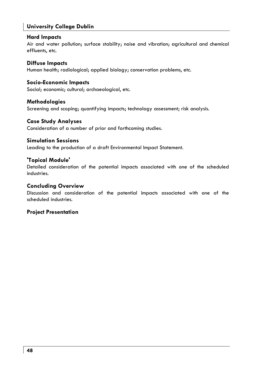# **Hard Impacts**

Air and water pollution; surface stability; noise and vibration; agricultural and chemical effluents, etc.

# **Diffuse Impacts**

Human health; radiological; applied biology; conservation problems, etc.

# **Socio-Economic Impacts**

Social; economic; cultural; archaeological, etc.

# **Methodologies**

Screening and scoping; quantifying impacts; technology assessment; risk analysis.

# **Case Study Analyses**

Consideration of a number of prior and forthcoming studies.

# **Simulation Sessions**

Leading to the production of a draft Environmental Impact Statement.

# **'Topical Module'**

Detailed consideration of the potential impacts associated with one of the scheduled industries.

# **Concluding Overview**

Discussion and consideration of the potential impacts associated with one of the scheduled industries.

# **Project Presentation**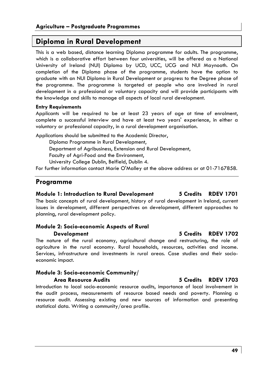# **Diploma in Rural Development**

This is a web based, distance learning Diploma programme for adults. The programme, which is a collaborative effort between four universities, will be offered as a National University of Ireland (NUI) Diploma by UCD, UCC, UCG and NUI Maynooth. On completion of the Diploma phase of the programme, students have the option to graduate with an NUI Diploma in Rural Development or progress to the Degree phase of the programme. The programme is targeted at people who are involved in rural development in a professional or voluntary capacity and will provide participants with the knowledge and skills to manage all aspects of local rural development.

### **Entry Requirements**

Applicants will be required to be at least 23 years of age at time of enrolment, complete a successful interview and have at least two years' experience, in either a voluntary or professional capacity, in a rural development organisation.

Applications should be submitted to the Academic Director,

Diploma Programme in Rural Development,

Department of Agribusiness, Extension and Rural Development,

Faculty of Agri-Food and the Environment,

University College Dublin, Belfield, Dublin 4.

For further information contact Marie O'Malley at the above address or at 01-7167858.

# **Programme**

# **Module 1: Introduction to Rural Development 5 Credits RDEV 1701**

The basic concepts of rural development, history of rural development in Ireland, current issues in development, different perspectives on development, different approaches to planning, rural development policy.

# **Module 2: Socio-economic Aspects of Rural**

The nature of the rural economy, agricultural change and restructuring, the role of agriculture in the rural economy. Rural households, resources, activities and income. Services, infrastructure and investments in rural areas. Case studies and their socioeconomic impact.

# **Module 3: Socio-economic Community/ Area Resource Audits 5 Credits RDEV 1703**

Introduction to local socio-economic resource audits, importance of local involvement in the audit process, measurements of resource based needs and poverty. Planning a resource audit. Assessing existing and new sources of information and presenting statistical data. Writing a community/area profile.

### **49**

### **Development 5 Credits RDEV 1702**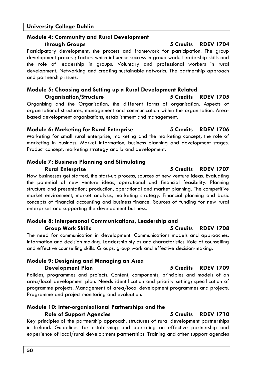# **Module 4: Community and Rural Development**

Participatory development, the process and framework for participation. The group development process; factors which influence success in group work. Leadership skills and the role of leadership in groups. Voluntary and professional workers in rural development. Networking and creating sustainable networks. The partnership approach and partnership issues.

# **Module 5: Choosing and Setting up a Rural Development Related Organisation/Structure 5 Credits RDEV 1705**

Organising and the Organisation, the different forms of organisation. Aspects of organisational structures, management and communication within the organisation. Areabased development organisations, establishment and management.

# **Module 6: Marketing for Rural Enterprise 5 Credits RDEV 1706**

Marketing for small rural enterprise, marketing and the marketing concept, the role of marketing in business. Market information, business planning and development stages. Product concept, marketing strategy and brand development.

# **Module 7: Business Planning and Stimulating**

How businesses get started, the start-up process, sources of new venture ideas. Evaluating the potential of new venture ideas, operational and financial feasibility. Planning structure and presentation; production, operational and market planning. The competitive market environment, market analysis, marketing strategy. Financial planning and basic concepts of financial accounting and business finance. Sources of funding for new rural enterprises and supporting the development business.

# **Module 8: Interpersonal Communications, Leadership and Group Work Skills 5 Credits RDEV 1708**

The need for communication in development. Communications models and approaches. Information and decision making. Leadership styles and characteristics. Role of counselling and effective counselling skills. Groups, group work and effective decision-making.

# **Module 9: Designing and Managing an Area Development Plan 5 Credits RDEV 1709**

Policies, programmes and projects. Content, components, principles and models of an area/local development plan. Needs identification and priority setting; specification of programme projects. Management of area/local development programmes and projects. Programme and project monitoring and evaluation.

# **Module 10: Inter-organisational Partnerships and the Role of Support Agencies 5 Credits RDEV 1710**

Key principles of the partnership approach, structures of rural development partnerships in Ireland. Guidelines for establishing and operating an effective partnership and experience of local/rural development partnerships. Training and other support agencies

# **Rural Enterprise 5 Credits RDEV 1707**

# **through Groups 5 Credits RDEV 1704**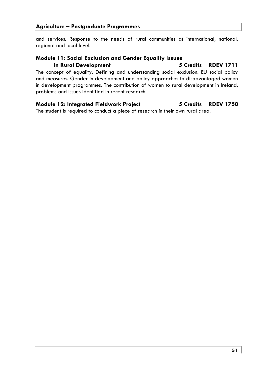and services. Response to the needs of rural communities at international, national, regional and local level.

# **Module 11: Social Exclusion and Gender Equality Issues**

**in Rural Development 5 Credits RDEV 1711** 

The concept of equality. Defining and understanding social exclusion. EU social policy and measures. Gender in development and policy approaches to disadvantaged women in development programmes. The contribution of women to rural development in Ireland, problems and issues identified in recent research.

# **Module 12: Integrated Fieldwork Project 5 Credits RDEV 1750**

The student is required to conduct a piece of research in their own rural area.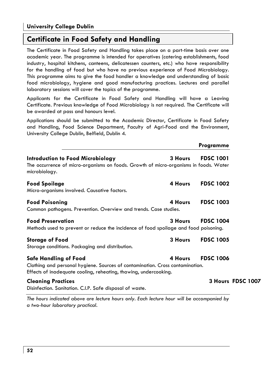# **Certificate in Food Safety and Handling**

The Certificate in Food Safety and Handling takes place on a part-time basis over one academic year. The programme is intended for operatives (catering establishments, food industry, hospital kitchens, canteens, delicatessen counters, etc.) who have responsibility for the handling of food but who have no previous experience of Food Microbiology. This programme aims to give the food handler a knowledge and understanding of basic food microbiology, hygiene and good manufacturing practices. Lectures and parallel laboratory sessions will cover the topics of the programme.

Applicants for the Certificate in Food Safety and Handling will have a Leaving Certificate. Previous knowledge of Food Microbiology is not required. The Certificate will be awarded at pass and honours level.

Applications should be submitted to the Academic Director, Certificate in Food Safety and Handling, Food Science Department, Faculty of Agri-Food and the Environment, University College Dublin, Belfield, Dublin 4.

|                                                                                                                                                                            |         | Programme         |
|----------------------------------------------------------------------------------------------------------------------------------------------------------------------------|---------|-------------------|
| Introduction to Food Microbiology<br>The occurrence of micro-organisms on foods. Growth of micro-organisms in foods. Water<br>microbiology.                                | 3 Hours | <b>FDSC 1001</b>  |
| <b>Food Spoilage</b><br>Micro-organisms involved. Causative factors.                                                                                                       | 4 Hours | <b>FDSC 1002</b>  |
| <b>Food Poisoning</b><br>Common pathogens. Prevention. Overview and trends. Case studies.                                                                                  | 4 Hours | <b>FDSC 1003</b>  |
| <b>Food Preservation</b><br>Methods used to prevent or reduce the incidence of food spoilage and food poisoning.                                                           | 3 Hours | <b>FDSC 1004</b>  |
| <b>Storage of Food</b><br>Storage conditions. Packaging and distribution.                                                                                                  | 3 Hours | <b>FDSC 1005</b>  |
| Safe Handling of Food<br>Clothing and personal hygiene. Sources of contamination. Cross contamination.<br>Effects of inadequate cooling, reheating, thawing, undercooking. | 4 Hours | <b>FDSC 1006</b>  |
| <b>Cleaning Practices</b><br>Disinfection. Sanitation. C.I.P. Safe disposal of waste.                                                                                      |         | 3 Hours FDSC 1007 |

*The hours indicated above are lecture hours only. Each lecture hour will be accompanied by a two-hour laboratory practical.*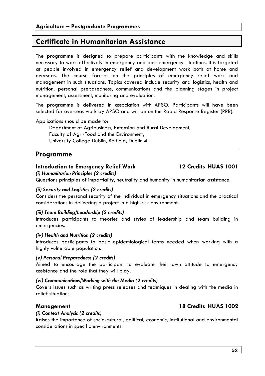# **Certificate in Humanitarian Assistance**

The programme is designed to prepare participants with the knowledge and skills necessary to work effectively in emergency and post-emergency situations. It is targeted at people involved in emergency relief and development work both at home and overseas. The course focuses on the principles of emergency relief work and management in such situations. Topics covered include security and logistics, health and nutrition, personal preparedness, communications and the planning stages in project management, assessment, monitoring and evaluation.

The programme is delivered in association with APSO. Participants will have been selected for overseas work by APSO and will be on the Rapid Response Register (RRR).

Applications should be made to:

Department of Agribusiness, Extension and Rural Development, Faculty of Agri-Food and the Environment, University College Dublin, Belfield, Dublin 4.

# **Programme**

# **Introduction to Emergency Relief Work 12 Credits HUAS 1001**

*(i) Humanitarian Principles (2 credits)* 

Questions principles of impartiality, neutrality and humanity in humanitarian assistance.

# *(ii) Security and Logistics (2 credits)*

Considers the personal security of the individual in emergency situations and the practical considerations in delivering a project in a high-risk environment.

# *(iii) Team Building/Leadership (2 credits)*

Introduces participants to theories and styles of leadership and team building in emergencies.

# *(iv) Health and Nutrition (2 credits)*

Introduces participants to basic epidemiological terms needed when working with a highly vulnerable population.

# *(v) Personal Preparedness (2 credits)*

Aimed to encourage the participant to evaluate their own attitude to emergency assistance and the role that they will play.

# *(vi) Communications/Working with the Media (2 credits)*

Covers issues such as writing press releases and techniques in dealing with the media in relief situations.

# **Management 18 Credits HUAS 1002**

# *(i) Context Analysis (2 credits)*

Raises the importance of socio-cultural, political, economic, institutional and environmental considerations in specific environments.